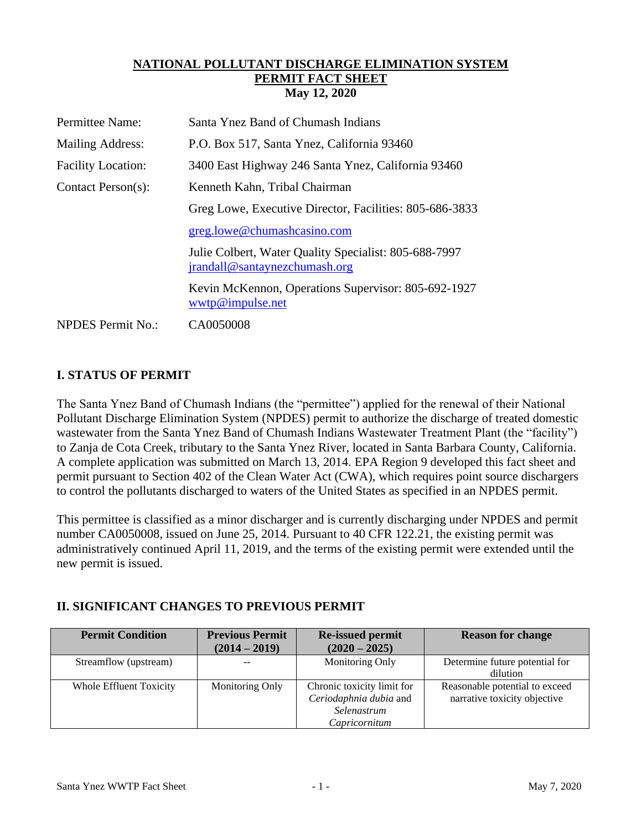#### **NATIONAL POLLUTANT DISCHARGE ELIMINATION SYSTEM PERMIT FACT SHEET May 12, 2020**

| Permittee Name:           | Santa Ynez Band of Chumash Indians                                                     |
|---------------------------|----------------------------------------------------------------------------------------|
| Mailing Address:          | P.O. Box 517, Santa Ynez, California 93460                                             |
| <b>Facility Location:</b> | 3400 East Highway 246 Santa Ynez, California 93460                                     |
| Contact Person(s):        | Kenneth Kahn, Tribal Chairman                                                          |
|                           | Greg Lowe, Executive Director, Facilities: 805-686-3833                                |
|                           | greg.lowe@chumashcasino.com                                                            |
|                           | Julie Colbert, Water Quality Specialist: 805-688-7997<br>jrandall@santaynezchumash.org |
|                           | Kevin McKennon, Operations Supervisor: 805-692-1927<br>wwtp@impulse.net                |
| <b>NPDES</b> Permit No.:  | CA0050008                                                                              |

## **I. STATUS OF PERMIT**

The Santa Ynez Band of Chumash Indians (the "permittee") applied for the renewal of their National Pollutant Discharge Elimination System (NPDES) permit to authorize the discharge of treated domestic wastewater from the Santa Ynez Band of Chumash Indians Wastewater Treatment Plant (the "facility") to Zanja de Cota Creek, tributary to the Santa Ynez River, located in Santa Barbara County, California. A complete application was submitted on March 13, 2014. EPA Region 9 developed this fact sheet and permit pursuant to Section 402 of the Clean Water Act (CWA), which requires point source dischargers to control the pollutants discharged to waters of the United States as specified in an NPDES permit.

This permittee is classified as a minor discharger and is currently discharging under NPDES and permit number CA0050008, issued on June 25, 2014. Pursuant to 40 CFR 122.21, the existing permit was administratively continued April 11, 2019, and the terms of the existing permit were extended until the new permit is issued.

# **II. SIGNIFICANT CHANGES TO PREVIOUS PERMIT**

| <b>Permit Condition</b> | <b>Previous Permit</b><br>$(2014 - 2019)$ | <b>Re-issued permit</b><br>$(2020 - 2025)$ | <b>Reason for change</b>       |
|-------------------------|-------------------------------------------|--------------------------------------------|--------------------------------|
|                         |                                           |                                            |                                |
| Streamflow (upstream)   |                                           | Monitoring Only                            | Determine future potential for |
|                         |                                           |                                            | dilution                       |
| Whole Effluent Toxicity | Monitoring Only                           | Chronic toxicity limit for                 | Reasonable potential to exceed |
|                         |                                           | Ceriodaphnia dubia and                     | narrative toxicity objective   |
|                         |                                           | Selenastrum                                |                                |
|                         |                                           | Capricornitum                              |                                |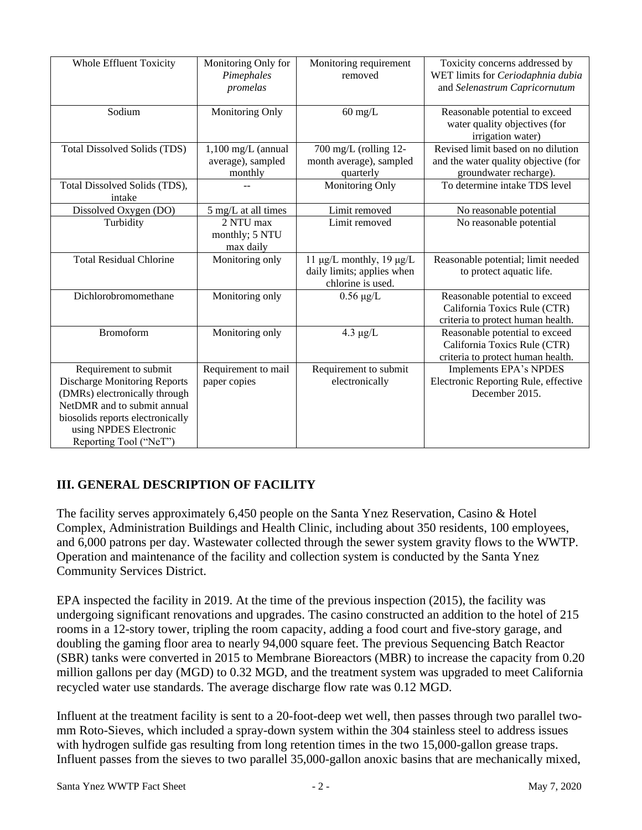| <b>Whole Effluent Toxicity</b>                               | Monitoring Only for<br>Pimephales | Monitoring requirement<br>removed  | Toxicity concerns addressed by<br>WET limits for Ceriodaphnia dubia |
|--------------------------------------------------------------|-----------------------------------|------------------------------------|---------------------------------------------------------------------|
|                                                              |                                   |                                    |                                                                     |
|                                                              | promelas                          |                                    | and Selenastrum Capricornutum                                       |
| Sodium                                                       | Monitoring Only                   | $60 \text{ mg/L}$                  | Reasonable potential to exceed                                      |
|                                                              |                                   |                                    | water quality objectives (for                                       |
|                                                              |                                   |                                    | irrigation water)                                                   |
| <b>Total Dissolved Solids (TDS)</b>                          | $1,100$ mg/L (annual              | 700 mg/L (rolling 12-              | Revised limit based on no dilution                                  |
|                                                              | average), sampled                 | month average), sampled            | and the water quality objective (for                                |
|                                                              | monthly                           | quarterly                          | groundwater recharge).                                              |
| Total Dissolved Solids (TDS),                                |                                   | Monitoring Only                    | To determine intake TDS level                                       |
| intake                                                       |                                   |                                    |                                                                     |
| Dissolved Oxygen (DO)                                        | 5 mg/L at all times               | Limit removed                      | No reasonable potential                                             |
| Turbidity                                                    | 2 NTU max                         | Limit removed                      | No reasonable potential                                             |
|                                                              | monthly; 5 NTU                    |                                    |                                                                     |
|                                                              | max daily                         |                                    |                                                                     |
| <b>Total Residual Chlorine</b>                               | Monitoring only                   | 11 $\mu$ g/L monthly, 19 $\mu$ g/L | Reasonable potential; limit needed                                  |
|                                                              |                                   | daily limits; applies when         | to protect aquatic life.                                            |
|                                                              |                                   | chlorine is used.                  |                                                                     |
| Dichlorobromomethane                                         | Monitoring only                   | $0.56 \mu g/L$                     | Reasonable potential to exceed                                      |
|                                                              |                                   |                                    | California Toxics Rule (CTR)                                        |
|                                                              |                                   |                                    | criteria to protect human health.                                   |
| <b>Bromoform</b>                                             | Monitoring only                   | $4.3 \mu g/L$                      | Reasonable potential to exceed                                      |
|                                                              |                                   |                                    | California Toxics Rule (CTR)                                        |
|                                                              |                                   |                                    | criteria to protect human health.                                   |
| Requirement to submit                                        | Requirement to mail               | Requirement to submit              | Implements EPA's NPDES                                              |
| <b>Discharge Monitoring Reports</b>                          | paper copies                      | electronically                     | Electronic Reporting Rule, effective                                |
| (DMRs) electronically through<br>NetDMR and to submit annual |                                   |                                    | December 2015.                                                      |
|                                                              |                                   |                                    |                                                                     |
| biosolids reports electronically<br>using NPDES Electronic   |                                   |                                    |                                                                     |
| Reporting Tool ("NeT")                                       |                                   |                                    |                                                                     |
|                                                              |                                   |                                    |                                                                     |

# **III. GENERAL DESCRIPTION OF FACILITY**

The facility serves approximately 6,450 people on the Santa Ynez Reservation, Casino & Hotel Complex, Administration Buildings and Health Clinic, including about 350 residents, 100 employees, and 6,000 patrons per day. Wastewater collected through the sewer system gravity flows to the WWTP. Operation and maintenance of the facility and collection system is conducted by the Santa Ynez Community Services District.

EPA inspected the facility in 2019. At the time of the previous inspection (2015), the facility was undergoing significant renovations and upgrades. The casino constructed an addition to the hotel of 215 rooms in a 12-story tower, tripling the room capacity, adding a food court and five-story garage, and doubling the gaming floor area to nearly 94,000 square feet. The previous Sequencing Batch Reactor (SBR) tanks were converted in 2015 to Membrane Bioreactors (MBR) to increase the capacity from 0.20 million gallons per day (MGD) to 0.32 MGD, and the treatment system was upgraded to meet California recycled water use standards. The average discharge flow rate was 0.12 MGD.

Influent at the treatment facility is sent to a 20-foot-deep wet well, then passes through two parallel twomm Roto-Sieves, which included a spray-down system within the 304 stainless steel to address issues with hydrogen sulfide gas resulting from long retention times in the two 15,000-gallon grease traps. Influent passes from the sieves to two parallel 35,000-gallon anoxic basins that are mechanically mixed,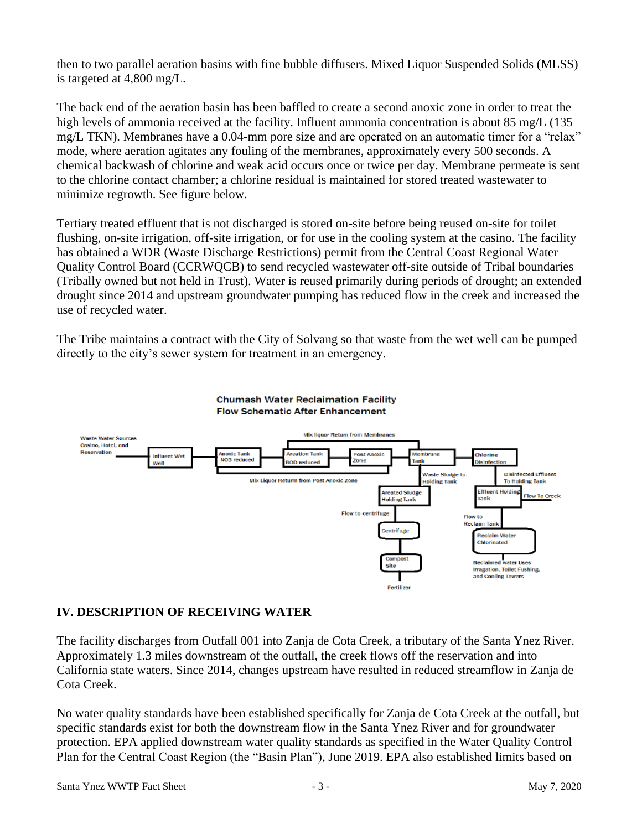then to two parallel aeration basins with fine bubble diffusers. Mixed Liquor Suspended Solids (MLSS) is targeted at 4,800 mg/L.

The back end of the aeration basin has been baffled to create a second anoxic zone in order to treat the high levels of ammonia received at the facility. Influent ammonia concentration is about 85 mg/L (135) mg/L TKN). Membranes have a 0.04-mm pore size and are operated on an automatic timer for a "relax" mode, where aeration agitates any fouling of the membranes, approximately every 500 seconds. A chemical backwash of chlorine and weak acid occurs once or twice per day. Membrane permeate is sent to the chlorine contact chamber; a chlorine residual is maintained for stored treated wastewater to minimize regrowth. See figure below.

Tertiary treated effluent that is not discharged is stored on-site before being reused on-site for toilet flushing, on-site irrigation, off-site irrigation, or for use in the cooling system at the casino. The facility has obtained a WDR (Waste Discharge Restrictions) permit from the Central Coast Regional Water Quality Control Board (CCRWQCB) to send recycled wastewater off-site outside of Tribal boundaries (Tribally owned but not held in Trust). Water is reused primarily during periods of drought; an extended drought since 2014 and upstream groundwater pumping has reduced flow in the creek and increased the use of recycled water.

The Tribe maintains a contract with the City of Solvang so that waste from the wet well can be pumped directly to the city's sewer system for treatment in an emergency.



# **Chumash Water Reclaimation Facility**

# **IV. DESCRIPTION OF RECEIVING WATER**

The facility discharges from Outfall 001 into Zanja de Cota Creek, a tributary of the Santa Ynez River. Approximately 1.3 miles downstream of the outfall, the creek flows off the reservation and into California state waters. Since 2014, changes upstream have resulted in reduced streamflow in Zanja de Cota Creek.

No water quality standards have been established specifically for Zanja de Cota Creek at the outfall, but specific standards exist for both the downstream flow in the Santa Ynez River and for groundwater protection. EPA applied downstream water quality standards as specified in the Water Quality Control Plan for the Central Coast Region (the "Basin Plan"), June 2019. EPA also established limits based on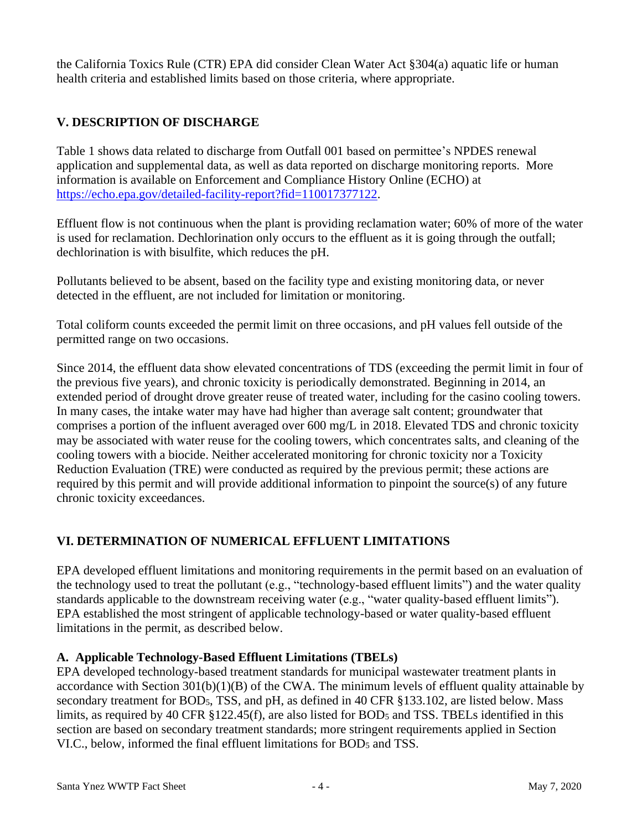the California Toxics Rule (CTR) EPA did consider Clean Water Act §304(a) aquatic life or human health criteria and established limits based on those criteria, where appropriate.

# **V. DESCRIPTION OF DISCHARGE**

Table 1 shows data related to discharge from Outfall 001 based on permittee's NPDES renewal application and supplemental data, as well as data reported on discharge monitoring reports. More information is available on Enforcement and Compliance History Online (ECHO) at [https://echo.epa.gov/detailed-facility-report?fid=110017377122.](https://echo.epa.gov/detailed-facility-report?fid=110017377122)

Effluent flow is not continuous when the plant is providing reclamation water; 60% of more of the water is used for reclamation. Dechlorination only occurs to the effluent as it is going through the outfall; dechlorination is with bisulfite, which reduces the pH.

Pollutants believed to be absent, based on the facility type and existing monitoring data, or never detected in the effluent, are not included for limitation or monitoring.

Total coliform counts exceeded the permit limit on three occasions, and pH values fell outside of the permitted range on two occasions.

Since 2014, the effluent data show elevated concentrations of TDS (exceeding the permit limit in four of the previous five years), and chronic toxicity is periodically demonstrated. Beginning in 2014, an extended period of drought drove greater reuse of treated water, including for the casino cooling towers. In many cases, the intake water may have had higher than average salt content; groundwater that comprises a portion of the influent averaged over 600 mg/L in 2018. Elevated TDS and chronic toxicity may be associated with water reuse for the cooling towers, which concentrates salts, and cleaning of the cooling towers with a biocide. Neither accelerated monitoring for chronic toxicity nor a Toxicity Reduction Evaluation (TRE) were conducted as required by the previous permit; these actions are required by this permit and will provide additional information to pinpoint the source(s) of any future chronic toxicity exceedances.

# **VI. DETERMINATION OF NUMERICAL EFFLUENT LIMITATIONS**

EPA developed effluent limitations and monitoring requirements in the permit based on an evaluation of the technology used to treat the pollutant (e.g., "technology-based effluent limits") and the water quality standards applicable to the downstream receiving water (e.g., "water quality-based effluent limits"). EPA established the most stringent of applicable technology-based or water quality-based effluent limitations in the permit, as described below.

#### **A. Applicable Technology-Based Effluent Limitations (TBELs)**

EPA developed technology-based treatment standards for municipal wastewater treatment plants in accordance with Section 301(b)(1)(B) of the CWA. The minimum levels of effluent quality attainable by secondary treatment for BOD5, TSS, and pH, as defined in 40 CFR §133.102, are listed below. Mass limits, as required by 40 CFR §122.45(f), are also listed for BOD<sup>5</sup> and TSS. TBELs identified in this section are based on secondary treatment standards; more stringent requirements applied in Section VI.C., below, informed the final effluent limitations for BOD<sup>5</sup> and TSS.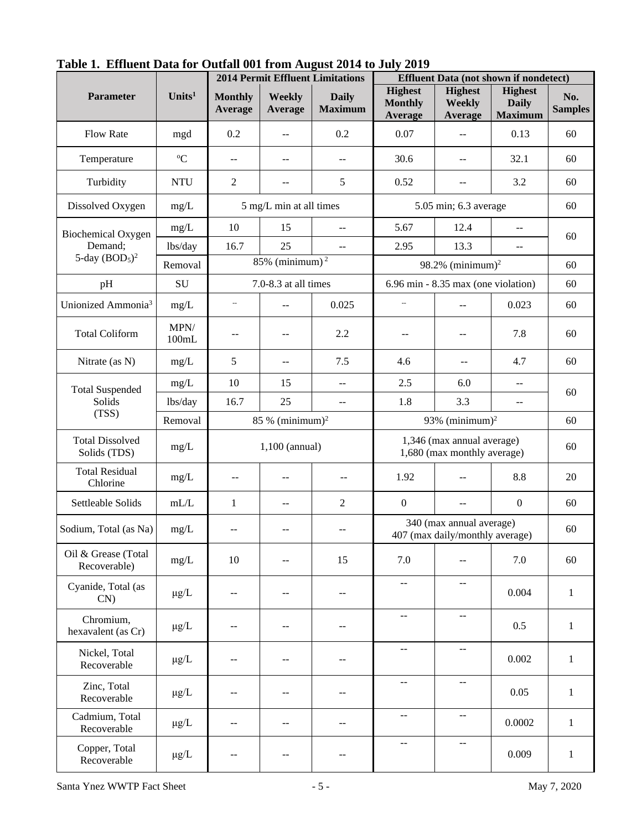|                                        |                    | $\overline{v}$ and $\overline{v}$ and $\overline{v}$ and $\overline{v}$ and $\overline{v}$<br><b>2014 Permit Effluent Limitations</b> |                                               | <b>Effluent Data (not shown if nondetect)</b> |                                                           |                                                             |                                                  |                       |
|----------------------------------------|--------------------|---------------------------------------------------------------------------------------------------------------------------------------|-----------------------------------------------|-----------------------------------------------|-----------------------------------------------------------|-------------------------------------------------------------|--------------------------------------------------|-----------------------|
| <b>Parameter</b>                       | Units <sup>1</sup> | <b>Monthly</b><br>Average                                                                                                             | Weekly<br>Average                             | <b>Daily</b><br><b>Maximum</b>                | <b>Highest</b><br><b>Monthly</b><br>Average               | <b>Highest</b><br><b>Weekly</b><br>Average                  | <b>Highest</b><br><b>Daily</b><br><b>Maximum</b> | No.<br><b>Samples</b> |
| <b>Flow Rate</b>                       | mgd                | 0.2                                                                                                                                   | $-$                                           | 0.2                                           | 0.07                                                      | $-$                                                         | 0.13                                             | 60                    |
| Temperature                            | ${}^{\circ}C$      | $\mathord{\hspace{1pt}\text{--}\hspace{1pt}}$                                                                                         | $- -$                                         | $\mathord{\hspace{1pt}\text{--}\hspace{1pt}}$ | 30.6                                                      | $- -$                                                       | 32.1                                             | 60                    |
| Turbidity                              | <b>NTU</b>         | $\mathfrak{2}$                                                                                                                        | $-$                                           | 5                                             | 0.52                                                      | --                                                          | 3.2                                              | 60                    |
| Dissolved Oxygen                       | $mg/L$             |                                                                                                                                       | 5 mg/L min at all times                       |                                               |                                                           | 5.05 min; 6.3 average                                       |                                                  | 60                    |
| <b>Biochemical Oxygen</b>              | mg/L               | 10                                                                                                                                    | 15                                            |                                               | 5.67                                                      | 12.4                                                        | $-$                                              |                       |
| Demand;                                | lbs/day            | 16.7                                                                                                                                  | 25                                            | $\overline{\phantom{a}}$                      | 2.95                                                      | 13.3                                                        | $-$                                              | 60                    |
| 5-day $(BOD5)2$                        | Removal            |                                                                                                                                       | 85% (minimum) $^2$                            |                                               |                                                           | 98.2% (minimum) <sup>2</sup>                                |                                                  | 60                    |
| pH                                     | ${\bf SU}$         |                                                                                                                                       | 7.0-8.3 at all times                          |                                               |                                                           | $6.96$ min - $8.35$ max (one violation)                     |                                                  | 60                    |
| Unionized Ammonia <sup>3</sup>         | $mg/L$             | $\overline{\phantom{a}}$                                                                                                              | $-$                                           | 0.025                                         | --                                                        | $-$                                                         | 0.023                                            | 60                    |
| <b>Total Coliform</b>                  | MPN/<br>100mL      | --                                                                                                                                    | $-1$                                          | 2.2                                           | --                                                        | $- -$                                                       | 7.8                                              | 60                    |
| Nitrate (as N)                         | mg/L               | 5                                                                                                                                     | $-$                                           | 7.5                                           | 4.6                                                       | $-$                                                         | 4.7                                              | 60                    |
| <b>Total Suspended</b>                 | mg/L               | 10                                                                                                                                    | 15                                            | $\overline{a}$                                | 2.5                                                       | 6.0                                                         | $-$                                              | 60                    |
| Solids                                 | lbs/day            | 16.7                                                                                                                                  | 25                                            | $\overline{\phantom{a}}$                      | 1.8                                                       | 3.3                                                         | $-$                                              |                       |
| (TSS)                                  | Removal            | $85\%$ (minimum) <sup>2</sup><br>93% (minimum) <sup>2</sup>                                                                           |                                               |                                               |                                                           |                                                             | 60                                               |                       |
| <b>Total Dissolved</b><br>Solids (TDS) | mg/L               |                                                                                                                                       | $1,100$ (annual)                              |                                               | 1,346 (max annual average)<br>1,680 (max monthly average) |                                                             |                                                  | 60                    |
| <b>Total Residual</b><br>Chlorine      | mg/L               | $\overline{a}$                                                                                                                        | $-$                                           | $-$                                           | 1.92                                                      |                                                             | 8.8                                              | 20                    |
| Settleable Solids                      | $\mathrm{mL/L}$    | $\mathbf{1}$                                                                                                                          | $-$                                           | $\overline{2}$                                | $\boldsymbol{0}$                                          | $-$                                                         | $\boldsymbol{0}$                                 | 60                    |
| Sodium, Total (as Na)                  | mg/L               | $-$                                                                                                                                   | $-$                                           | $\overline{\phantom{m}}$                      |                                                           | 340 (max annual average)<br>407 (max daily/monthly average) |                                                  | 60                    |
| Oil & Grease (Total<br>Recoverable)    | mg/L               | 10                                                                                                                                    | --                                            | 15                                            | 7.0                                                       | --                                                          | 7.0                                              | 60                    |
| Cyanide, Total (as<br>$CN$ )           | $\mu$ g/L          | $- \, -$                                                                                                                              | $-\,-$                                        | $- -$                                         | --                                                        | --                                                          | 0.004                                            | $\mathbf{1}$          |
| Chromium,<br>hexavalent (as Cr)        | $\mu$ g/L          | $-$                                                                                                                                   | $\mathord{\hspace{1pt}\text{--}\hspace{1pt}}$ | --                                            | $\overline{\phantom{a}}$                                  | $- -$                                                       | 0.5                                              | $\mathbf{1}$          |
| Nickel, Total<br>Recoverable           | $\mu$ g/L          | $-$                                                                                                                                   | --                                            | --                                            | $\overline{\phantom{a}}$                                  | $\hspace{0.05cm}$ $\hspace{0.05cm}$                         | 0.002                                            | $\mathbf{1}$          |
| Zinc, Total<br>Recoverable             | $\mu$ g/L          | $-$                                                                                                                                   | --                                            | --                                            | --                                                        | --                                                          | 0.05                                             | $\mathbf{1}$          |
| Cadmium, Total<br>Recoverable          | $\mu$ g/L          | $-$                                                                                                                                   | $-$                                           |                                               | $-\,-$                                                    | $\qquad \qquad -$                                           | 0.0002                                           | $\mathbf{1}$          |
| Copper, Total<br>Recoverable           | $\mu$ g/L          | $-$                                                                                                                                   | --                                            | --                                            | $-$                                                       | $-$                                                         | 0.009                                            | $\mathbf{1}$          |

**Table 1. Effluent Data for Outfall 001 from August 2014 to July 2019**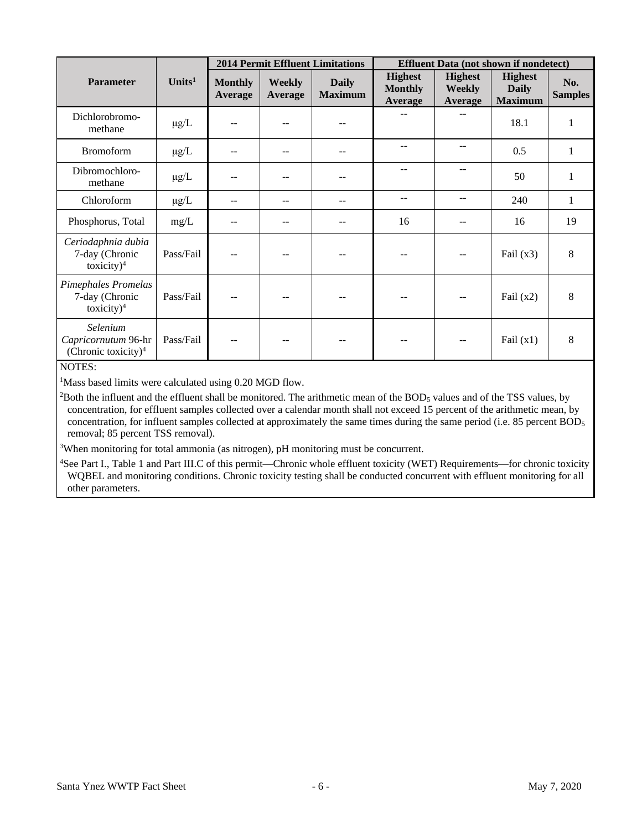|                                                           |                    |                           |                          | <b>2014 Permit Effluent Limitations</b> | <b>Effluent Data (not shown if nondetect)</b> |                                                   |                                                  |                       |
|-----------------------------------------------------------|--------------------|---------------------------|--------------------------|-----------------------------------------|-----------------------------------------------|---------------------------------------------------|--------------------------------------------------|-----------------------|
| <b>Parameter</b>                                          | Units <sup>1</sup> | <b>Monthly</b><br>Average | <b>Weekly</b><br>Average | <b>Daily</b><br><b>Maximum</b>          | <b>Highest</b><br><b>Monthly</b><br>Average   | <b>Highest</b><br><b>Weekly</b><br><b>Average</b> | <b>Highest</b><br><b>Daily</b><br><b>Maximum</b> | No.<br><b>Samples</b> |
| Dichlorobromo-<br>methane                                 | $\mu$ g/L          | $-$                       |                          |                                         |                                               | $-$                                               | 18.1                                             | 1                     |
| <b>Bromoform</b>                                          | $\mu$ g/L          | $-$                       |                          | --                                      | --                                            | --                                                | 0.5                                              | 1                     |
| Dibromochloro-<br>methane                                 | $\mu$ g/L          | $- -$                     |                          |                                         |                                               |                                                   | 50                                               | $\mathbf{1}$          |
| Chloroform                                                | $\mu$ g/L          | $-$                       |                          |                                         | --                                            | --                                                | 240                                              | 1                     |
| Phosphorus, Total                                         | mg/L               | $- -$                     |                          |                                         | 16                                            |                                                   | 16                                               | 19                    |
| Ceriodaphnia dubia<br>7-day (Chronic<br>toxicity $)^4$    | Pass/Fail          | $-$                       |                          |                                         | --                                            | --                                                | Fail $(x3)$                                      | 8                     |
| Pimephales Promelas<br>7-day (Chronic<br>toxicity $)^4$   | Pass/Fail          | $- -$                     |                          |                                         | --                                            | $-$                                               | Fail $(x2)$                                      | 8                     |
| Selenium<br>Capricornutum 96-hr<br>(Chronic toxicity) $4$ | Pass/Fail          | $\sim$ $\sim$             |                          |                                         | $\qquad \qquad -$                             | $-$                                               | Fail $(x1)$                                      | 8                     |

#### NOTES:

<sup>1</sup>Mass based limits were calculated using 0.20 MGD flow.

 $2$ Both the influent and the effluent shall be monitored. The arithmetic mean of the BOD<sub>5</sub> values and of the TSS values, by concentration, for effluent samples collected over a calendar month shall not exceed 15 percent of the arithmetic mean, by concentration, for influent samples collected at approximately the same times during the same period (i.e. 85 percent BOD<sub>5</sub> removal; 85 percent TSS removal).

<sup>3</sup>When monitoring for total ammonia (as nitrogen), pH monitoring must be concurrent.

<sup>4</sup>See Part I., Table 1 and Part III.C of this permit—Chronic whole effluent toxicity (WET) Requirements—for chronic toxicity WQBEL and monitoring conditions. Chronic toxicity testing shall be conducted concurrent with effluent monitoring for all other parameters.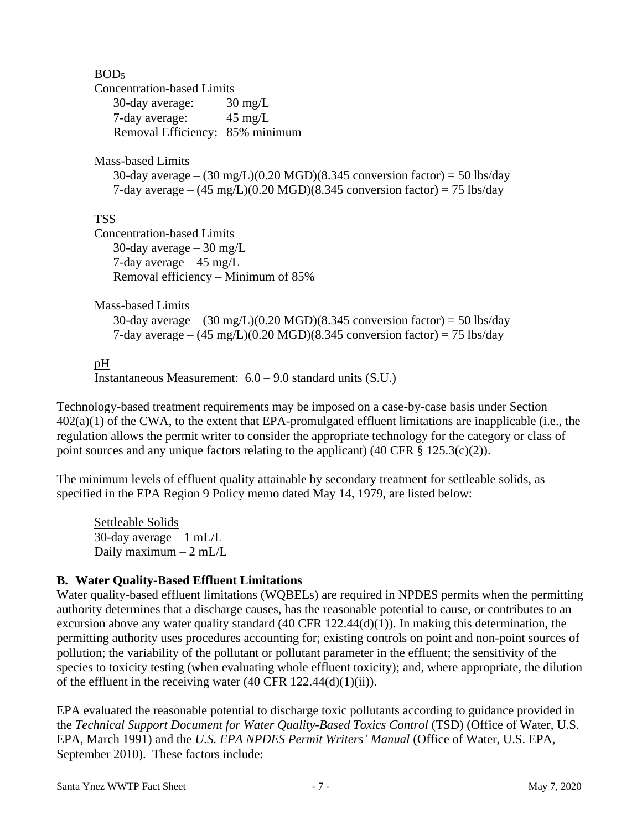#### BOD<sup>5</sup>

Concentration-based Limits

| 30-day average:                 | $30 \text{ mg/L}$ |
|---------------------------------|-------------------|
| 7-day average:                  | $45 \text{ mg/L}$ |
| Removal Efficiency: 85% minimum |                   |

Mass-based Limits

30-day average –  $(30 \text{ mg/L})(0.20 \text{ MGD})(8.345 \text{ conversion factor}) = 50 \text{ lbs/day}$ 7-day average  $- (45 \text{ mg/L}) (0.20 \text{ MGD}) (8.345 \text{ conversion factor}) = 75 \text{ lbs/day}$ 

## TSS

Concentration-based Limits 30-day average  $-30$  mg/L 7-day average – 45 mg/L Removal efficiency – Minimum of 85%

Mass-based Limits

30-day average –  $(30 \text{ mg/L})(0.20 \text{ MGD})(8.345 \text{ conversion factor}) = 50 \text{ lbs/day}$ 7-day average –  $(45 \text{ mg/L})(0.20 \text{ MGD})(8.345 \text{ conversion factor}) = 75 \text{ lbs/day}$ 

## pH

Instantaneous Measurement: 6.0 – 9.0 standard units (S.U.)

Technology-based treatment requirements may be imposed on a case-by-case basis under Section  $402(a)(1)$  of the CWA, to the extent that EPA-promulgated effluent limitations are inapplicable (i.e., the regulation allows the permit writer to consider the appropriate technology for the category or class of point sources and any unique factors relating to the applicant) (40 CFR  $\S$  125.3(c)(2)).

The minimum levels of effluent quality attainable by secondary treatment for settleable solids, as specified in the EPA Region 9 Policy memo dated May 14, 1979, are listed below:

Settleable Solids 30-day average  $-1$  mL/L Daily maximum  $-2$  mL/L

#### **B. Water Quality-Based Effluent Limitations**

Water quality-based effluent limitations (WQBELs) are required in NPDES permits when the permitting authority determines that a discharge causes, has the reasonable potential to cause, or contributes to an excursion above any water quality standard  $(40 \text{ CFR } 122.44(d)(1))$ . In making this determination, the permitting authority uses procedures accounting for; existing controls on point and non-point sources of pollution; the variability of the pollutant or pollutant parameter in the effluent; the sensitivity of the species to toxicity testing (when evaluating whole effluent toxicity); and, where appropriate, the dilution of the effluent in the receiving water  $(40 \text{ CFR } 122.44(d)(1)(ii)).$ 

EPA evaluated the reasonable potential to discharge toxic pollutants according to guidance provided in the *Technical Support Document for Water Quality-Based Toxics Control* (TSD) (Office of Water, U.S. EPA, March 1991) and the *U.S. EPA NPDES Permit Writers' Manual* (Office of Water, U.S. EPA, September 2010). These factors include: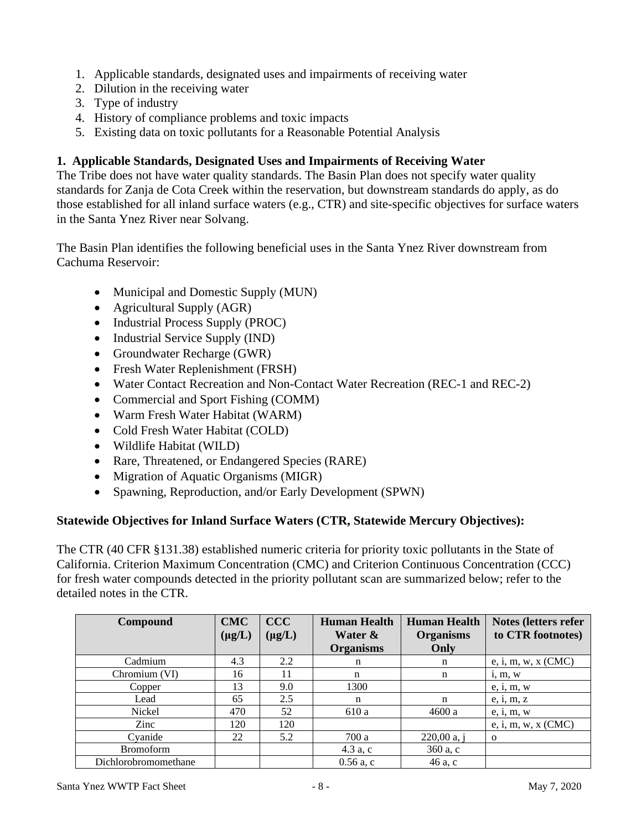- 1. Applicable standards, designated uses and impairments of receiving water
- 2. Dilution in the receiving water
- 3. Type of industry
- 4. History of compliance problems and toxic impacts
- 5. Existing data on toxic pollutants for a Reasonable Potential Analysis

#### **1. Applicable Standards, Designated Uses and Impairments of Receiving Water**

The Tribe does not have water quality standards. The Basin Plan does not specify water quality standards for Zanja de Cota Creek within the reservation, but downstream standards do apply, as do those established for all inland surface waters (e.g., CTR) and site-specific objectives for surface waters in the Santa Ynez River near Solvang.

The Basin Plan identifies the following beneficial uses in the Santa Ynez River downstream from Cachuma Reservoir:

- Municipal and Domestic Supply (MUN)
- Agricultural Supply (AGR)
- Industrial Process Supply (PROC)
- Industrial Service Supply (IND)
- Groundwater Recharge (GWR)
- Fresh Water Replenishment (FRSH)
- Water Contact Recreation and Non-Contact Water Recreation (REC-1 and REC-2)
- Commercial and Sport Fishing (COMM)
- Warm Fresh Water Habitat (WARM)
- Cold Fresh Water Habitat (COLD)
- Wildlife Habitat (WILD)
- Rare, Threatened, or Endangered Species (RARE)
- Migration of Aquatic Organisms (MIGR)
- Spawning, Reproduction, and/or Early Development (SPWN)

#### **Statewide Objectives for Inland Surface Waters (CTR, Statewide Mercury Objectives):**

The CTR (40 CFR §131.38) established numeric criteria for priority toxic pollutants in the State of California. Criterion Maximum Concentration (CMC) and Criterion Continuous Concentration (CCC) for fresh water compounds detected in the priority pollutant scan are summarized below; refer to the detailed notes in the CTR.

| Compound             | <b>CMC</b>  | <b>CCC</b>  | <b>Human Health</b> | <b>Human Health</b> | Notes (letters refer |
|----------------------|-------------|-------------|---------------------|---------------------|----------------------|
|                      | $(\mu g/L)$ | $(\mu g/L)$ | Water &             | <b>Organisms</b>    | to CTR footnotes)    |
|                      |             |             | <b>Organisms</b>    | Only                |                      |
| Cadmium              | 4.3         | 2.2         | n                   | n                   | e, i, m, w, x (CMC)  |
| Chromium (VI)        | 16          | 11          | n                   | n                   | i, m, w              |
| Copper               | 13          | 9.0         | 1300                |                     | e, i, m, w           |
| Lead                 | 65          | 2.5         | n                   | n                   | e, i, m, z           |
| Nickel               | 470         | 52          | 610 a               | 4600a               | e, i, m, w           |
| Zinc                 | 120         | 120         |                     |                     | e, i, m, w, x (CMC)  |
| Cyanide              | 22          | 5.2         | 700 a               | $220,00$ a, j       | $\Omega$             |
| <b>Bromoform</b>     |             |             | 4.3 a, c            | 360 a, c            |                      |
| Dichlorobromomethane |             |             | $0.56$ a, c         | 46 a, c             |                      |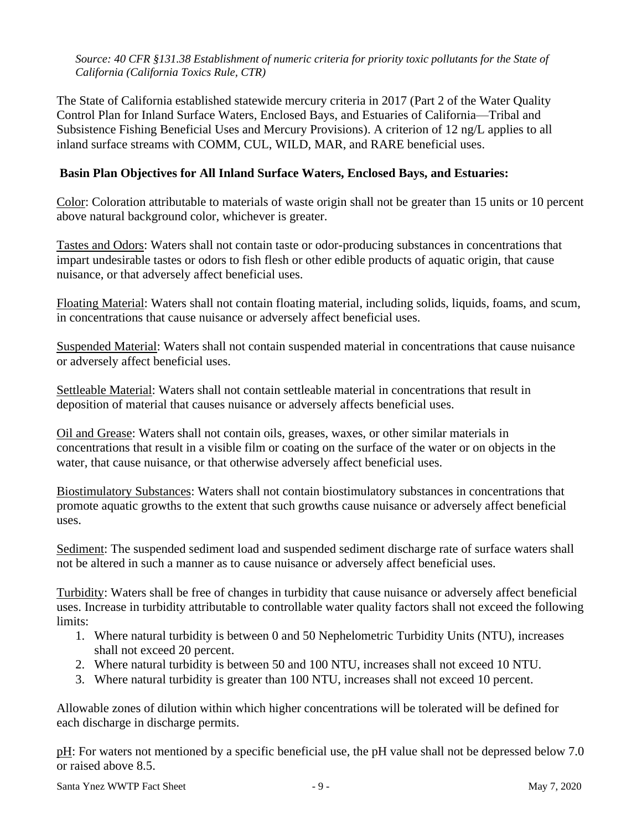*Source: 40 CFR §131.38 Establishment of numeric criteria for priority toxic pollutants for the State of California (California Toxics Rule, CTR)*

The State of California established statewide mercury criteria in 2017 (Part 2 of the Water Quality Control Plan for Inland Surface Waters, Enclosed Bays, and Estuaries of California—Tribal and Subsistence Fishing Beneficial Uses and Mercury Provisions). A criterion of 12 ng/L applies to all inland surface streams with COMM, CUL, WILD, MAR, and RARE beneficial uses.

#### **Basin Plan Objectives for All Inland Surface Waters, Enclosed Bays, and Estuaries:**

Color: Coloration attributable to materials of waste origin shall not be greater than 15 units or 10 percent above natural background color, whichever is greater.

Tastes and Odors: Waters shall not contain taste or odor-producing substances in concentrations that impart undesirable tastes or odors to fish flesh or other edible products of aquatic origin, that cause nuisance, or that adversely affect beneficial uses.

Floating Material: Waters shall not contain floating material, including solids, liquids, foams, and scum, in concentrations that cause nuisance or adversely affect beneficial uses.

Suspended Material: Waters shall not contain suspended material in concentrations that cause nuisance or adversely affect beneficial uses.

Settleable Material: Waters shall not contain settleable material in concentrations that result in deposition of material that causes nuisance or adversely affects beneficial uses.

Oil and Grease: Waters shall not contain oils, greases, waxes, or other similar materials in concentrations that result in a visible film or coating on the surface of the water or on objects in the water, that cause nuisance, or that otherwise adversely affect beneficial uses.

Biostimulatory Substances: Waters shall not contain biostimulatory substances in concentrations that promote aquatic growths to the extent that such growths cause nuisance or adversely affect beneficial uses.

Sediment: The suspended sediment load and suspended sediment discharge rate of surface waters shall not be altered in such a manner as to cause nuisance or adversely affect beneficial uses.

Turbidity: Waters shall be free of changes in turbidity that cause nuisance or adversely affect beneficial uses. Increase in turbidity attributable to controllable water quality factors shall not exceed the following limits:

- 1. Where natural turbidity is between 0 and 50 Nephelometric Turbidity Units (NTU), increases shall not exceed 20 percent.
- 2. Where natural turbidity is between 50 and 100 NTU, increases shall not exceed 10 NTU.
- 3. Where natural turbidity is greater than 100 NTU, increases shall not exceed 10 percent.

Allowable zones of dilution within which higher concentrations will be tolerated will be defined for each discharge in discharge permits.

pH: For waters not mentioned by a specific beneficial use, the pH value shall not be depressed below 7.0 or raised above 8.5.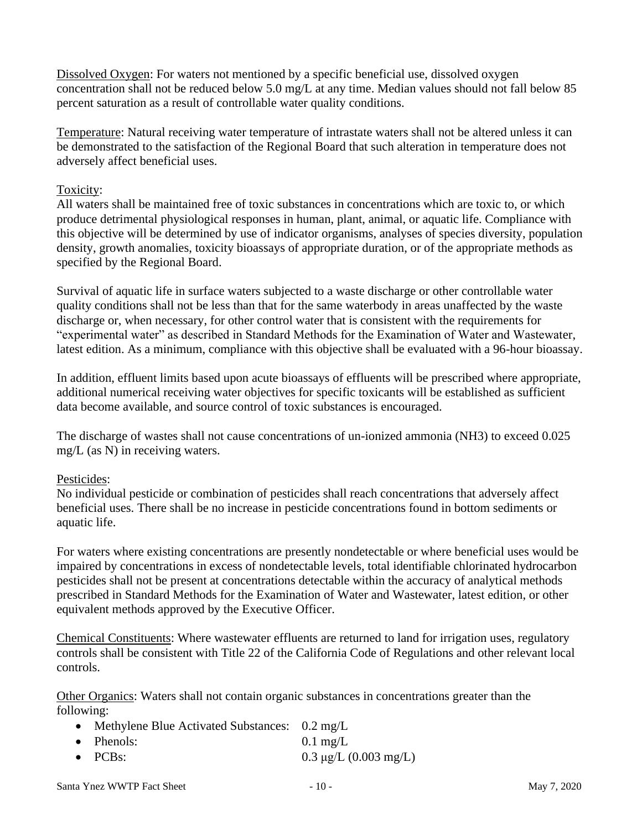Dissolved Oxygen: For waters not mentioned by a specific beneficial use, dissolved oxygen concentration shall not be reduced below 5.0 mg/L at any time. Median values should not fall below 85 percent saturation as a result of controllable water quality conditions.

Temperature: Natural receiving water temperature of intrastate waters shall not be altered unless it can be demonstrated to the satisfaction of the Regional Board that such alteration in temperature does not adversely affect beneficial uses.

#### Toxicity:

All waters shall be maintained free of toxic substances in concentrations which are toxic to, or which produce detrimental physiological responses in human, plant, animal, or aquatic life. Compliance with this objective will be determined by use of indicator organisms, analyses of species diversity, population density, growth anomalies, toxicity bioassays of appropriate duration, or of the appropriate methods as specified by the Regional Board.

Survival of aquatic life in surface waters subjected to a waste discharge or other controllable water quality conditions shall not be less than that for the same waterbody in areas unaffected by the waste discharge or, when necessary, for other control water that is consistent with the requirements for "experimental water" as described in Standard Methods for the Examination of Water and Wastewater, latest edition. As a minimum, compliance with this objective shall be evaluated with a 96-hour bioassay.

In addition, effluent limits based upon acute bioassays of effluents will be prescribed where appropriate, additional numerical receiving water objectives for specific toxicants will be established as sufficient data become available, and source control of toxic substances is encouraged.

The discharge of wastes shall not cause concentrations of un-ionized ammonia (NH3) to exceed 0.025 mg/L (as N) in receiving waters.

#### Pesticides:

No individual pesticide or combination of pesticides shall reach concentrations that adversely affect beneficial uses. There shall be no increase in pesticide concentrations found in bottom sediments or aquatic life.

For waters where existing concentrations are presently nondetectable or where beneficial uses would be impaired by concentrations in excess of nondetectable levels, total identifiable chlorinated hydrocarbon pesticides shall not be present at concentrations detectable within the accuracy of analytical methods prescribed in Standard Methods for the Examination of Water and Wastewater, latest edition, or other equivalent methods approved by the Executive Officer.

Chemical Constituents: Where wastewater effluents are returned to land for irrigation uses, regulatory controls shall be consistent with Title 22 of the California Code of Regulations and other relevant local controls.

Other Organics: Waters shall not contain organic substances in concentrations greater than the following:

- Methylene Blue Activated Substances: 0.2 mg/L
- Phenols:  $0.1 \text{ mg/L}$
- PCBs:  $0.3 \mu g/L (0.003 \text{ mg/L})$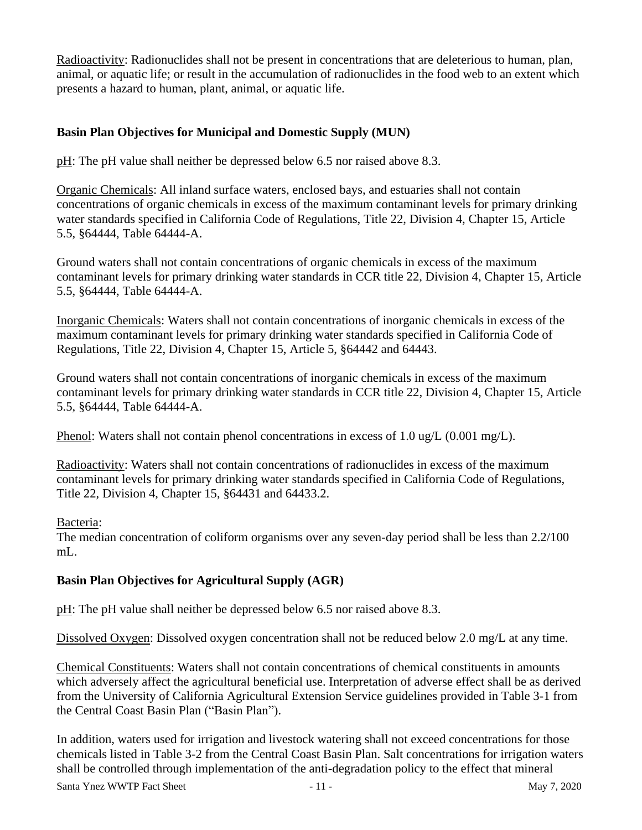Radioactivity: Radionuclides shall not be present in concentrations that are deleterious to human, plan, animal, or aquatic life; or result in the accumulation of radionuclides in the food web to an extent which presents a hazard to human, plant, animal, or aquatic life.

## **Basin Plan Objectives for Municipal and Domestic Supply (MUN)**

pH: The pH value shall neither be depressed below 6.5 nor raised above 8.3.

Organic Chemicals: All inland surface waters, enclosed bays, and estuaries shall not contain concentrations of organic chemicals in excess of the maximum contaminant levels for primary drinking water standards specified in California Code of Regulations, Title 22, Division 4, Chapter 15, Article 5.5, §64444, Table 64444-A.

Ground waters shall not contain concentrations of organic chemicals in excess of the maximum contaminant levels for primary drinking water standards in CCR title 22, Division 4, Chapter 15, Article 5.5, §64444, Table 64444-A.

Inorganic Chemicals: Waters shall not contain concentrations of inorganic chemicals in excess of the maximum contaminant levels for primary drinking water standards specified in California Code of Regulations, Title 22, Division 4, Chapter 15, Article 5, §64442 and 64443.

Ground waters shall not contain concentrations of inorganic chemicals in excess of the maximum contaminant levels for primary drinking water standards in CCR title 22, Division 4, Chapter 15, Article 5.5, §64444, Table 64444-A.

Phenol: Waters shall not contain phenol concentrations in excess of 1.0 ug/L (0.001 mg/L).

Radioactivity: Waters shall not contain concentrations of radionuclides in excess of the maximum contaminant levels for primary drinking water standards specified in California Code of Regulations, Title 22, Division 4, Chapter 15, §64431 and 64433.2.

Bacteria:

The median concentration of coliform organisms over any seven-day period shall be less than 2.2/100  $mL$ .

#### **Basin Plan Objectives for Agricultural Supply (AGR)**

pH: The pH value shall neither be depressed below 6.5 nor raised above 8.3.

Dissolved Oxygen: Dissolved oxygen concentration shall not be reduced below 2.0 mg/L at any time.

Chemical Constituents: Waters shall not contain concentrations of chemical constituents in amounts which adversely affect the agricultural beneficial use. Interpretation of adverse effect shall be as derived from the University of California Agricultural Extension Service guidelines provided in Table 3-1 from the Central Coast Basin Plan ("Basin Plan").

In addition, waters used for irrigation and livestock watering shall not exceed concentrations for those chemicals listed in Table 3-2 from the Central Coast Basin Plan. Salt concentrations for irrigation waters shall be controlled through implementation of the anti-degradation policy to the effect that mineral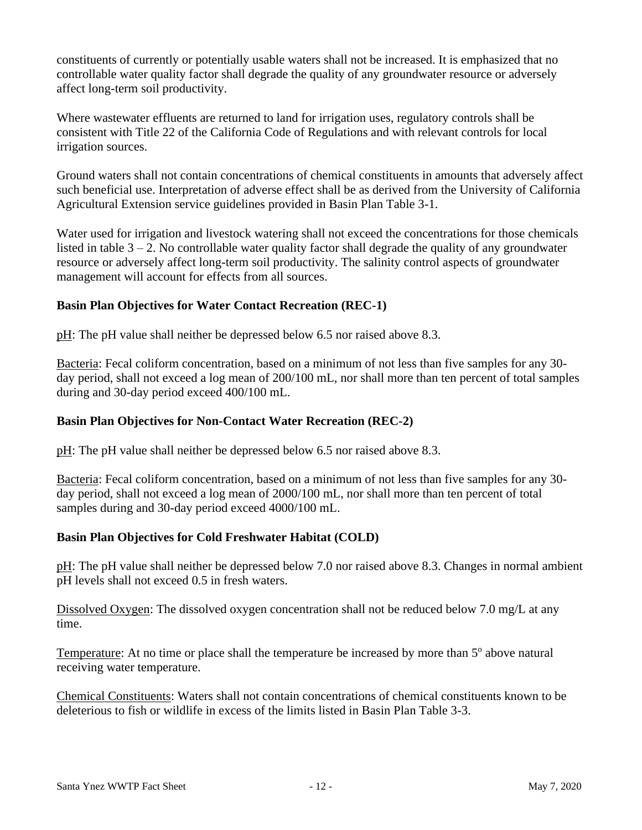constituents of currently or potentially usable waters shall not be increased. It is emphasized that no controllable water quality factor shall degrade the quality of any groundwater resource or adversely affect long-term soil productivity.

Where wastewater effluents are returned to land for irrigation uses, regulatory controls shall be consistent with Title 22 of the California Code of Regulations and with relevant controls for local irrigation sources.

Ground waters shall not contain concentrations of chemical constituents in amounts that adversely affect such beneficial use. Interpretation of adverse effect shall be as derived from the University of California Agricultural Extension service guidelines provided in Basin Plan Table 3-1.

Water used for irrigation and livestock watering shall not exceed the concentrations for those chemicals listed in table  $3 - 2$ . No controllable water quality factor shall degrade the quality of any groundwater resource or adversely affect long-term soil productivity. The salinity control aspects of groundwater management will account for effects from all sources.

## **Basin Plan Objectives for Water Contact Recreation (REC-1)**

pH: The pH value shall neither be depressed below 6.5 nor raised above 8.3.

Bacteria: Fecal coliform concentration, based on a minimum of not less than five samples for any 30 day period, shall not exceed a log mean of 200/100 mL, nor shall more than ten percent of total samples during and 30-day period exceed 400/100 mL.

#### **Basin Plan Objectives for Non-Contact Water Recreation (REC-2)**

pH: The pH value shall neither be depressed below 6.5 nor raised above 8.3.

Bacteria: Fecal coliform concentration, based on a minimum of not less than five samples for any 30 day period, shall not exceed a log mean of 2000/100 mL, nor shall more than ten percent of total samples during and 30-day period exceed 4000/100 mL.

#### **Basin Plan Objectives for Cold Freshwater Habitat (COLD)**

pH: The pH value shall neither be depressed below 7.0 nor raised above 8.3. Changes in normal ambient pH levels shall not exceed 0.5 in fresh waters.

Dissolved Oxygen: The dissolved oxygen concentration shall not be reduced below 7.0 mg/L at any time.

Temperature: At no time or place shall the temperature be increased by more than 5<sup>°</sup> above natural receiving water temperature.

Chemical Constituents: Waters shall not contain concentrations of chemical constituents known to be deleterious to fish or wildlife in excess of the limits listed in Basin Plan Table 3-3.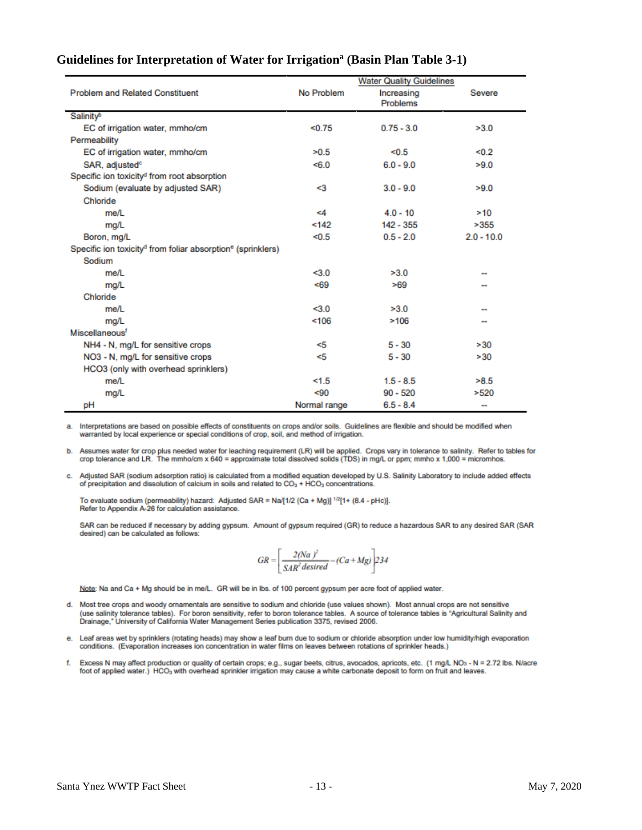| <b>Problem and Related Constituent</b>                                              | No Problem   | <b>Water Quality Guidelines</b><br>Increasing<br><b>Problems</b> | Severe       |
|-------------------------------------------------------------------------------------|--------------|------------------------------------------------------------------|--------------|
| Salinity <sup>b</sup>                                                               |              |                                                                  |              |
| EC of irrigation water, mmho/cm                                                     | < 0.75       | $0.75 - 3.0$                                                     | >3.0         |
| Permeability                                                                        |              |                                                                  |              |
| EC of irrigation water, mmho/cm                                                     | >0.5         | < 0.5                                                            | < 0.2        |
| SAR, adjusted <sup>o</sup>                                                          | 5.0          | $6.0 - 9.0$                                                      | >9.0         |
| Specific ion toxicity <sup>d</sup> from root absorption                             |              |                                                                  |              |
| Sodium (evaluate by adjusted SAR)                                                   | <3           | $3.0 - 9.0$                                                      | >9.0         |
| Chloride                                                                            |              |                                                                  |              |
| me/l                                                                                | <4           | $4.0 - 10$                                                       | >10          |
| mg/L                                                                                | 142          | 142 - 355                                                        | >355         |
| Boron, mg/L                                                                         | < 0.5        | $0.5 - 2.0$                                                      | $2.0 - 10.0$ |
| Specific ion toxicity <sup>d</sup> from foliar absorption <sup>e</sup> (sprinklers) |              |                                                                  |              |
| Sodium                                                                              |              |                                                                  |              |
| me/L                                                                                | < 3.0        | >3.0                                                             |              |
| mg/L                                                                                | < 69         | >69                                                              |              |
| Chloride                                                                            |              |                                                                  |              |
| me/l                                                                                | 3.0          | >3.0                                                             | --           |
| mg/L                                                                                | 106          | >106                                                             |              |
| Miscellaneous <sup>f</sup>                                                          |              |                                                                  |              |
| NH4 - N, mg/L for sensitive crops                                                   | <5           | $5 - 30$                                                         | >30          |
| NO3 - N, mg/L for sensitive crops                                                   | <5           | $5 - 30$                                                         | >30          |
| HCO3 (only with overhead sprinklers)                                                |              |                                                                  |              |
| me/L                                                                                | 1.5          | $1.5 - 8.5$                                                      | >8.5         |
| mg/L                                                                                | < 90         | $90 - 520$                                                       | >520         |
| рH                                                                                  | Normal range | $6.5 - 8.4$                                                      | -            |

#### **Guidelines for Interpretation of Water for Irrigation<sup>a</sup> (Basin Plan Table 3-1)**

a. Interpretations are based on possible effects of constituents on crops and/or soils. Guidelines are flexible and should be modified when warranted by local experience or special conditions of crop, soil, and method of irrigation.

b. Assumes water for crop plus needed water for leaching requirement (LR) will be applied. Crops vary in tolerance to salinity. Refer to tables for crop tolerance and LR. The mmho/cm x 640 = approximate total dissolved solids (TDS) in mg/L or ppm; mmho x 1,000 = micromhos.

c. Adjusted SAR (sodium adsorption ratio) is calculated from a modified equation developed by U.S. Salinity Laboratory to include added effects of precipitation and dissolution of calcium in soils and related to CO<sub>3</sub> + HCO<sub>3</sub> concentrations.

To evaluate sodium (permeability) hazard: Adjusted SAR = Na/[1/2 (Ca + Mg)] <sup>1/2</sup>[1+ (8.4 - pHc)]. Refer to Appendix A-26 for calculation assistance.

SAR can be reduced if necessary by adding gypsum. Amount of gypsum required (GR) to reduce a hazardous SAR to any desired SAR (SAR desired) can be calculated as follows:

$$
GR = \left[\frac{2(Na)^2}{SAR^2\,desired} - (Ca + Mg)\right] 234
$$

Note: Na and Ca + Mg should be in me/L. GR will be in lbs. of 100 percent gypsum per acre foot of applied water.

- d. Most tree crops and woody ornamentals are sensitive to sodium and chloride (use values shown). Most annual crops are not sensitive (use salinity tolerance tables). For boron sensitivity, refer to boron tolerance tables. A source of tolerance tables is "Agricultural Salinity and Drainage," University of California Water Management Series publication 3375, revised 2006.
- e. Leaf areas wet by sprinklers (rotating heads) may show a leaf burn due to sodium or chloride absorption under low humidity/high evaporation conditions. (Evaporation increases ion concentration in water films on leaves between rotations of sprinkler heads.)
- Excess N may affect production or quality of certain crops; e.g., sugar beets, citrus, avocados, apricots, etc. (1 mg/L NOs N = 2.72 lbs. N/acre<br>foot of applied water.) HCO<sub>3</sub> with overhead sprinkler irrigation may cause f.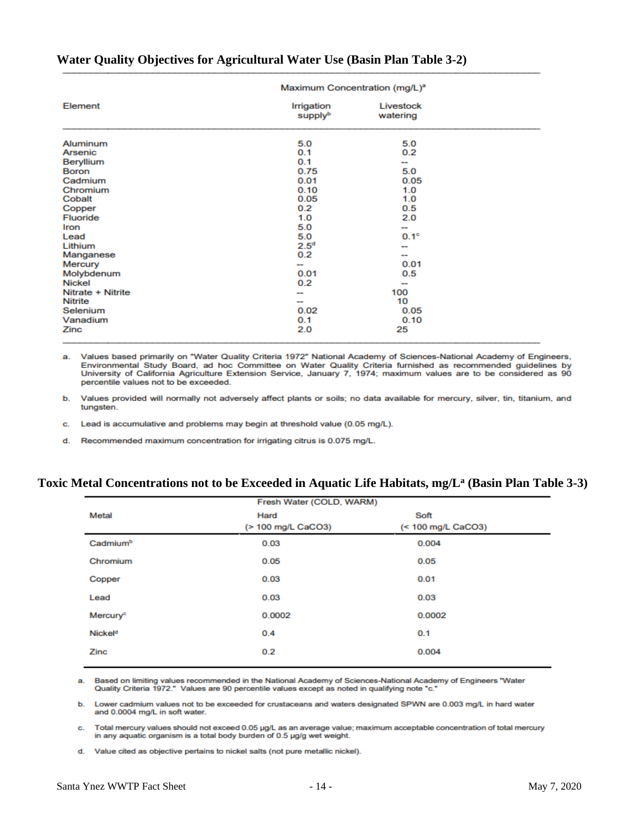|                   | Maximum Concentration (mg/L) <sup>a</sup> |                       |  |
|-------------------|-------------------------------------------|-----------------------|--|
| Element           | Irrigation<br>supplyb                     | Livestock<br>watering |  |
| Aluminum          | 5.0                                       | 5.0                   |  |
| Arsenic           | 0.1                                       | 0.2                   |  |
| Beryllium         | 0.1                                       | --                    |  |
| <b>Boron</b>      | 0.75                                      | 5.0                   |  |
| Cadmium           | 0.01                                      | 0.05                  |  |
| Chromium          | 0.10                                      | 1.0                   |  |
| Cobalt            | 0.05                                      | 1.0                   |  |
| Copper            | 0.2                                       | 0.5                   |  |
| <b>Fluoride</b>   | 1.0                                       | 2.0                   |  |
| Iron              | 5.0                                       |                       |  |
| Lead              | 5.0                                       | 0.1 <sup>c</sup>      |  |
| Lithium           | 2.5 <sup>d</sup>                          | --                    |  |
| Manganese         | 0.2                                       |                       |  |
| Mercury           | $\sim$                                    | 0.01                  |  |
| Molybdenum        | 0.01                                      | 0.5                   |  |
| Nickel            | 0.2                                       | --                    |  |
| Nitrate + Nitrite | $\overline{\phantom{a}}$                  | 100                   |  |
| <b>Nitrite</b>    | --                                        | 10                    |  |
| Selenium          | 0.02                                      | 0.05                  |  |
| Vanadium          | 0.1                                       | 0.10                  |  |
| Zinc              | 2.0                                       | 25                    |  |

#### **Water Quality Objectives for Agricultural Water Use (Basin Plan Table 3-2)**

a. Values based primarily on "Water Quality Criteria 1972" National Academy of Sciences-National Academy of Engineers, Environmental Study Board, ad hoc Committee on Water Quality Criteria furnished as recommended guidelines by<br>University of California Agriculture Extension Service, January 7, 1974; maximum values are to be considered as 9 percentile values not to be exceeded.

Values provided will normally not adversely affect plants or soils; no data available for mercury, silver, tin, titanium, and b. tungsten.

c. Lead is accumulative and problems may begin at threshold value (0.05 mg/L).

d. Recommended maximum concentration for irrigating citrus is 0.075 mg/L.

#### **Toxic Metal Concentrations not to be Exceeded in Aquatic Life Habitats, mg/L<sup>a</sup> (Basin Plan Table 3-3)**

|                      | Fresh Water (COLD, WARM)   |                            |
|----------------------|----------------------------|----------------------------|
| Metal                | Hard<br>(> 100 mg/L CaCO3) | Soft<br>(< 100 mg/L CaCO3) |
| Cadmium <sup>b</sup> | 0.03                       | 0.004                      |
| Chromium             | 0.05                       | 0.05                       |
| Copper               | 0.03                       | 0.01                       |
| Lead                 | 0.03                       | 0.03                       |
| Mercury <sup>e</sup> | 0.0002                     | 0.0002                     |
| Nickel <sup>d</sup>  | 0.4                        | 0.1                        |
| Zinc                 | 0.2                        | 0.004                      |

Based on limiting values recommended in the National Academy of Sciences-National Academy of Engineers "Water а. Quality Criteria 1972." Values are 90 percentile values except as noted in qualifying note "c."

b. Lower cadmium values not to be exceeded for crustaceans and waters designated SPWN are 0.003 mg/L in hard water and 0.0004 mg/L in soft water.

Total mercury values should not exceed 0.05 µg/L as an average value; maximum acceptable concentration of total mercury c. in any aquatic organism is a total body burden of 0.5 µg/g wet weight.

d. Value cited as objective pertains to nickel salts (not pure metallic nickel).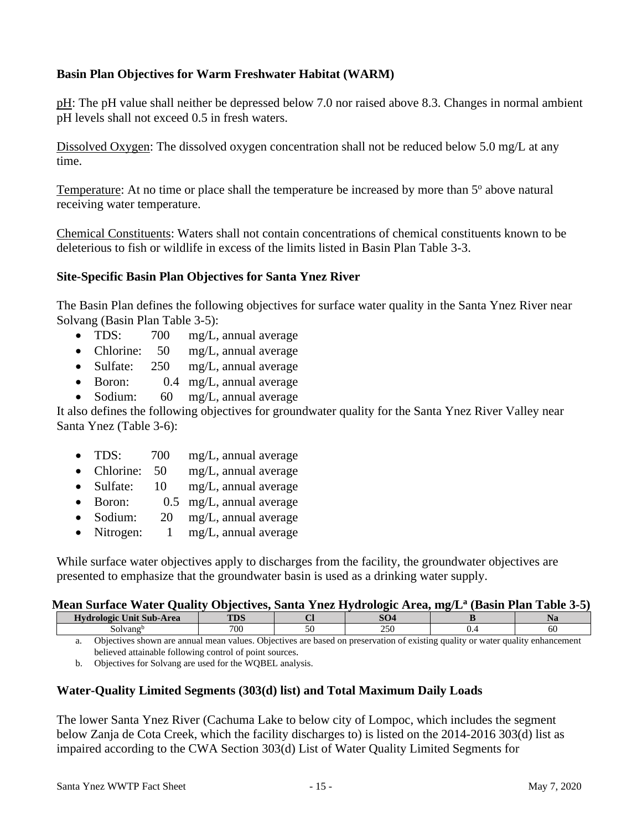## **Basin Plan Objectives for Warm Freshwater Habitat (WARM)**

pH: The pH value shall neither be depressed below 7.0 nor raised above 8.3. Changes in normal ambient pH levels shall not exceed 0.5 in fresh waters.

Dissolved Oxygen: The dissolved oxygen concentration shall not be reduced below 5.0 mg/L at any time.

Temperature: At no time or place shall the temperature be increased by more than 5<sup>°</sup> above natural receiving water temperature.

Chemical Constituents: Waters shall not contain concentrations of chemical constituents known to be deleterious to fish or wildlife in excess of the limits listed in Basin Plan Table 3-3.

#### **Site-Specific Basin Plan Objectives for Santa Ynez River**

The Basin Plan defines the following objectives for surface water quality in the Santa Ynez River near Solvang (Basin Plan Table 3-5):

- TDS: 700 mg/L, annual average
- Chlorine: 50 mg/L, annual average
- Sulfate: 250 mg/L, annual average
- Boron: 0.4 mg/L, annual average
- Sodium: 60 mg/L, annual average

It also defines the following objectives for groundwater quality for the Santa Ynez River Valley near Santa Ynez (Table 3-6):

- TDS: 700 mg/L, annual average
- Chlorine: 50 mg/L, annual average
- Sulfate: 10 mg/L, annual average
- Boron: 0.5 mg/L, annual average
- Sodium: 20 mg/L, annual average
- Nitrogen: 1 mg/L, annual average

While surface water objectives apply to discharges from the facility, the groundwater objectives are presented to emphasize that the groundwater basin is used as a drinking water supply.

#### **Mean Surface Water Quality Objectives, Santa Ynez Hydrologic Area, mg/L<sup>a</sup> (Basin Plan Table 3-5)**

| --------------<br>-----                                                                                  | --  |               | ---<br>------ |     |
|----------------------------------------------------------------------------------------------------------|-----|---------------|---------------|-----|
| $\cdots$<br><b>The Contract Contract Contract</b><br>Unit Sub-Area<br><b>H</b> vd<br>$\sim$ logic $\sim$ | TDC | $\sim$<br>־שט |               |     |
| Solvang'                                                                                                 | 700 | 250           |               | -60 |
|                                                                                                          |     |               |               |     |

a. Objectives shown are annual mean values. Objectives are based on preservation of existing quality or water quality enhancement believed attainable following control of point sources.

b. Objectives for Solvang are used for the WQBEL analysis.

#### **Water-Quality Limited Segments (303(d) list) and Total Maximum Daily Loads**

The lower Santa Ynez River (Cachuma Lake to below city of Lompoc, which includes the segment below Zanja de Cota Creek, which the facility discharges to) is listed on the 2014-2016 303(d) list as impaired according to the CWA Section 303(d) List of Water Quality Limited Segments for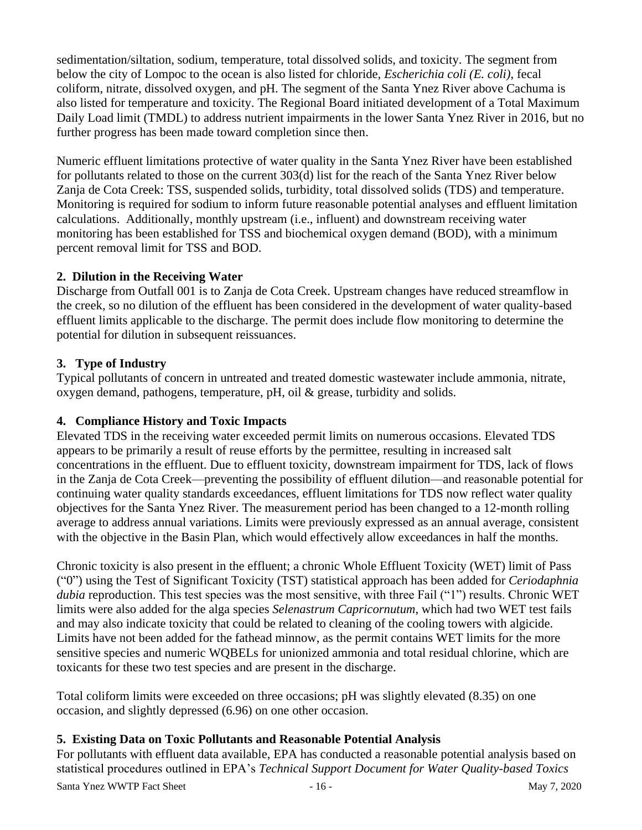sedimentation/siltation, sodium, temperature, total dissolved solids, and toxicity. The segment from below the city of Lompoc to the ocean is also listed for chloride, *Escherichia coli (E. coli)*, fecal coliform, nitrate, dissolved oxygen, and pH. The segment of the Santa Ynez River above Cachuma is also listed for temperature and toxicity. The Regional Board initiated development of a Total Maximum Daily Load limit (TMDL) to address nutrient impairments in the lower Santa Ynez River in 2016, but no further progress has been made toward completion since then.

Numeric effluent limitations protective of water quality in the Santa Ynez River have been established for pollutants related to those on the current 303(d) list for the reach of the Santa Ynez River below Zanja de Cota Creek: TSS, suspended solids, turbidity, total dissolved solids (TDS) and temperature. Monitoring is required for sodium to inform future reasonable potential analyses and effluent limitation calculations. Additionally, monthly upstream (i.e., influent) and downstream receiving water monitoring has been established for TSS and biochemical oxygen demand (BOD), with a minimum percent removal limit for TSS and BOD.

## **2. Dilution in the Receiving Water**

Discharge from Outfall 001 is to Zanja de Cota Creek. Upstream changes have reduced streamflow in the creek, so no dilution of the effluent has been considered in the development of water quality-based effluent limits applicable to the discharge. The permit does include flow monitoring to determine the potential for dilution in subsequent reissuances.

# **3. Type of Industry**

Typical pollutants of concern in untreated and treated domestic wastewater include ammonia, nitrate, oxygen demand, pathogens, temperature, pH, oil & grease, turbidity and solids.

# **4. Compliance History and Toxic Impacts**

Elevated TDS in the receiving water exceeded permit limits on numerous occasions. Elevated TDS appears to be primarily a result of reuse efforts by the permittee, resulting in increased salt concentrations in the effluent. Due to effluent toxicity, downstream impairment for TDS, lack of flows in the Zanja de Cota Creek—preventing the possibility of effluent dilution—and reasonable potential for continuing water quality standards exceedances, effluent limitations for TDS now reflect water quality objectives for the Santa Ynez River. The measurement period has been changed to a 12-month rolling average to address annual variations. Limits were previously expressed as an annual average, consistent with the objective in the Basin Plan, which would effectively allow exceedances in half the months.

Chronic toxicity is also present in the effluent; a chronic Whole Effluent Toxicity (WET) limit of Pass ("0") using the Test of Significant Toxicity (TST) statistical approach has been added for *Ceriodaphnia dubia* reproduction. This test species was the most sensitive, with three Fail ("1") results. Chronic WET limits were also added for the alga species *Selenastrum Capricornutum*, which had two WET test fails and may also indicate toxicity that could be related to cleaning of the cooling towers with algicide. Limits have not been added for the fathead minnow, as the permit contains WET limits for the more sensitive species and numeric WQBELs for unionized ammonia and total residual chlorine, which are toxicants for these two test species and are present in the discharge.

Total coliform limits were exceeded on three occasions; pH was slightly elevated (8.35) on one occasion, and slightly depressed (6.96) on one other occasion.

#### **5. Existing Data on Toxic Pollutants and Reasonable Potential Analysis**

For pollutants with effluent data available, EPA has conducted a reasonable potential analysis based on statistical procedures outlined in EPA's *Technical Support Document for Water Quality-based Toxics* 

Santa Ynez WWTP Fact Sheet - 16 - 16 - May 7, 2020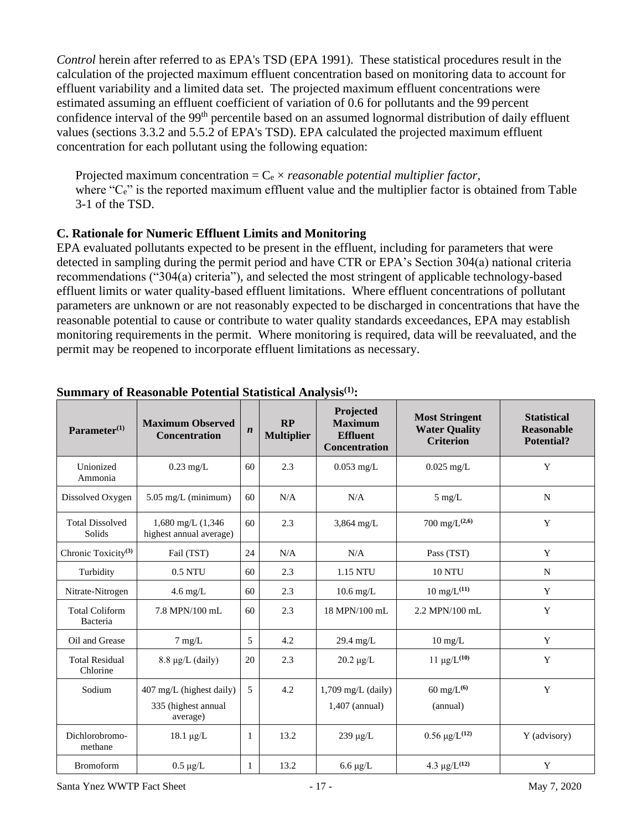*Control* herein after referred to as EPA's TSD (EPA 1991). These statistical procedures result in the calculation of the projected maximum effluent concentration based on monitoring data to account for effluent variability and a limited data set. The projected maximum effluent concentrations were estimated assuming an effluent coefficient of variation of 0.6 for pollutants and the 99 percent confidence interval of the 99<sup>th</sup> percentile based on an assumed lognormal distribution of daily effluent values (sections 3.3.2 and 5.5.2 of EPA's TSD). EPA calculated the projected maximum effluent concentration for each pollutant using the following equation:

Projected maximum concentration = C<sup>e</sup> × *reasonable potential multiplier factor,* where "C<sub>e</sub>" is the reported maximum effluent value and the multiplier factor is obtained from Table 3-1 of the TSD.

#### **C. Rationale for Numeric Effluent Limits and Monitoring**

EPA evaluated pollutants expected to be present in the effluent, including for parameters that were detected in sampling during the permit period and have CTR or EPA's Section 304(a) national criteria recommendations ("304(a) criteria"), and selected the most stringent of applicable technology-based effluent limits or water quality-based effluent limitations. Where effluent concentrations of pollutant parameters are unknown or are not reasonably expected to be discharged in concentrations that have the reasonable potential to cause or contribute to water quality standards exceedances, EPA may establish monitoring requirements in the permit. Where monitoring is required, data will be reevaluated, and the permit may be reopened to incorporate effluent limitations as necessary.

| Parameter $(1)$                   | <b>Maximum Observed</b><br><b>Concentration</b>             | $\boldsymbol{n}$ | RP<br><b>Multiplier</b> | Projected<br><b>Maximum</b><br><b>Effluent</b><br><b>Concentration</b> | <b>Most Stringent</b><br><b>Water Quality</b><br><b>Criterion</b> | <b>Statistical</b><br>Reasonable<br>Potential? |
|-----------------------------------|-------------------------------------------------------------|------------------|-------------------------|------------------------------------------------------------------------|-------------------------------------------------------------------|------------------------------------------------|
| Unionized<br>Ammonia              | $0.23 \text{ mg/L}$                                         | 60               | 2.3                     | $0.053$ mg/L                                                           | $0.025$ mg/L                                                      | Y                                              |
| Dissolved Oxygen                  | $5.05$ mg/L (minimum)                                       | 60               | N/A                     | N/A                                                                    | $5$ mg/L                                                          | N                                              |
| <b>Total Dissolved</b><br>Solids  | $1,680$ mg/L $(1,346)$<br>highest annual average)           | 60               | 2.3                     | $3,864$ mg/L                                                           | 700 mg/ $L^{(2,6)}$                                               | Y                                              |
| Chronic Toxicity <sup>(3)</sup>   | Fail (TST)                                                  | 24               | N/A                     | N/A                                                                    | Pass (TST)                                                        | Y                                              |
| Turbidity                         | $0.5$ NTU                                                   | 60               | 2.3                     | 1.15 NTU                                                               | <b>10 NTU</b>                                                     | N                                              |
| Nitrate-Nitrogen                  | $4.6 \text{ mg/L}$                                          | 60               | 2.3                     | $10.6$ mg/L                                                            | $10 \text{ mg/L}^{(11)}$                                          | Y                                              |
| <b>Total Coliform</b><br>Bacteria | 7.8 MPN/100 mL                                              | 60               | 2.3                     | 18 MPN/100 mL                                                          | 2.2 MPN/100 mL                                                    | Y                                              |
| Oil and Grease                    | $7 \text{ mg/L}$                                            | 5                | 4.2                     | $29.4 \text{ mg/L}$                                                    | $10 \text{ mg/L}$                                                 | Y                                              |
| <b>Total Residual</b><br>Chlorine | $8.8 \mu g/L$ (daily)                                       | 20               | 2.3                     | $20.2 \mu g/L$                                                         | $11 \mu g/L^{(10)}$                                               | Y                                              |
| Sodium                            | 407 mg/L (highest daily)<br>335 (highest annual<br>average) | 5                | 4.2                     | $1,709$ mg/L (daily)<br>$1,407$ (annual)                               | $60 \text{ mg/L}^{(6)}$<br>(annual)                               | Y                                              |
| Dichlorobromo-<br>methane         | $18.1 \mu g/L$                                              | 1                | 13.2                    | $239 \mu g/L$                                                          | $0.56 \mu g/L^{(12)}$                                             | Y (advisory)                                   |
| <b>Bromoform</b>                  | $0.5 \mu g/L$                                               | 1                | 13.2                    | $6.6 \mu g/L$                                                          | 4.3 $\mu$ g/L <sup>(12)</sup>                                     | Y                                              |

#### **Summary of Reasonable Potential Statistical Analysis(1):**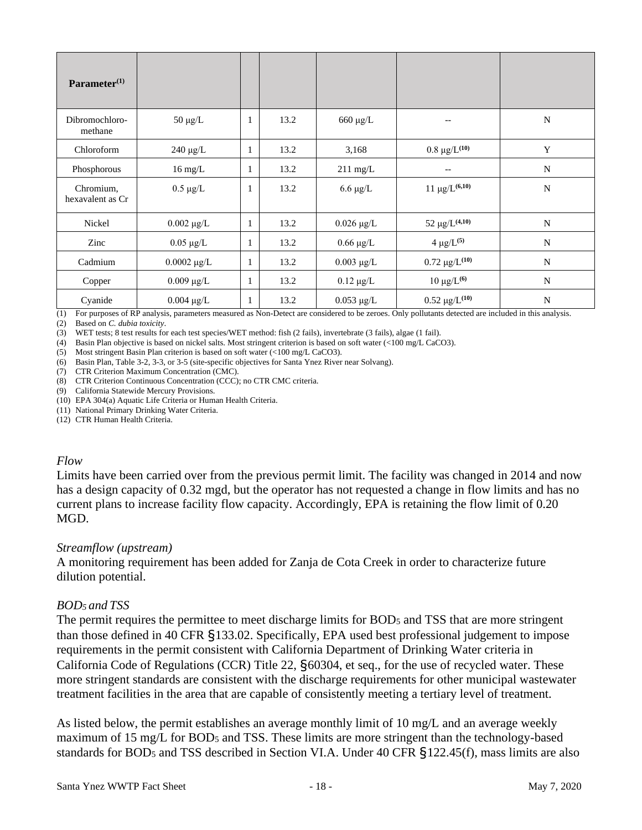| Parameter <sup>(1)</sup>      |                   |              |      |                    |                                |             |
|-------------------------------|-------------------|--------------|------|--------------------|--------------------------------|-------------|
| Dibromochloro-<br>methane     | $50 \ \mu g/L$    | 1            | 13.2 | $660 \mu g/L$      | --                             | N           |
| Chloroform                    | $240 \mu g/L$     | 1            | 13.2 | 3,168              | $0.8 \ \mu g/L^{(10)}$         | Y           |
| Phosphorous                   | $16 \text{ mg/L}$ | $\mathbf{1}$ | 13.2 | $211 \text{ mg/L}$ |                                | N           |
| Chromium,<br>hexavalent as Cr | $0.5 \mu g/L$     | 1            | 13.2 | $6.6 \mu g/L$      | $11 \mu g/L^{(6,10)}$          | $\mathbf N$ |
| Nickel                        | $0.002 \mu g/L$   | 1            | 13.2 | $0.026 \mu g/L$    | 52 $\mu$ g/L <sup>(4,10)</sup> | N           |
| Zinc                          | $0.05 \mu g/L$    | 1            | 13.2 | $0.66 \mu g/L$     | $4 \mu g/L^{(5)}$              | N           |
| Cadmium                       | $0.0002 \mu g/L$  | 1            | 13.2 | $0.003 \mu g/L$    | $0.72 \mu g/L(10)$             | N           |
| Copper                        | $0.009 \mu g/L$   | 1            | 13.2 | $0.12 \mu g/L$     | $10 \mu g/L$ <sup>(6)</sup>    | $\mathbf N$ |
| Cyanide                       | $0.004 \mu g/L$   | 1            | 13.2 | $0.053 \mu g/L$    | $0.52 \ \mu g/L^{(10)}$        | $\mathbf N$ |

(1) For purposes of RP analysis, parameters measured as Non-Detect are considered to be zeroes. Only pollutants detected are included in this analysis.

(2) Based on *C. dubia toxicity*.

(3) WET tests; 8 test results for each test species/WET method: fish (2 fails), invertebrate (3 fails), algae (1 fail).

(4) Basin Plan objective is based on nickel salts. Most stringent criterion is based on soft water (<100 mg/L CaCO3).

(5) Most stringent Basin Plan criterion is based on soft water (<100 mg/L CaCO3).

(6) Basin Plan, Table 3-2, 3-3, or 3-5 (site-specific objectives for Santa Ynez River near Solvang).

(7) CTR Criterion Maximum Concentration (CMC).

(8) CTR Criterion Continuous Concentration (CCC); no CTR CMC criteria.

(9) California Statewide Mercury Provisions.

(10) EPA 304(a) Aquatic Life Criteria or Human Health Criteria.

(11) National Primary Drinking Water Criteria.

(12) CTR Human Health Criteria.

#### *Flow*

Limits have been carried over from the previous permit limit. The facility was changed in 2014 and now has a design capacity of 0.32 mgd, but the operator has not requested a change in flow limits and has no current plans to increase facility flow capacity. Accordingly, EPA is retaining the flow limit of 0.20 MGD.

#### *Streamflow (upstream)*

A monitoring requirement has been added for Zanja de Cota Creek in order to characterize future dilution potential.

#### *BOD<sup>5</sup> and TSS*

The permit requires the permittee to meet discharge limits for BOD<sub>5</sub> and TSS that are more stringent than those defined in 40 CFR §133.02. Specifically, EPA used best professional judgement to impose requirements in the permit consistent with California Department of Drinking Water criteria in California Code of Regulations (CCR) Title 22, §60304, et seq., for the use of recycled water. These more stringent standards are consistent with the discharge requirements for other municipal wastewater treatment facilities in the area that are capable of consistently meeting a tertiary level of treatment.

As listed below, the permit establishes an average monthly limit of 10 mg/L and an average weekly maximum of 15 mg/L for BOD<sup>5</sup> and TSS. These limits are more stringent than the technology-based standards for BOD<sup>5</sup> and TSS described in Section VI.A. Under 40 CFR §122.45(f), mass limits are also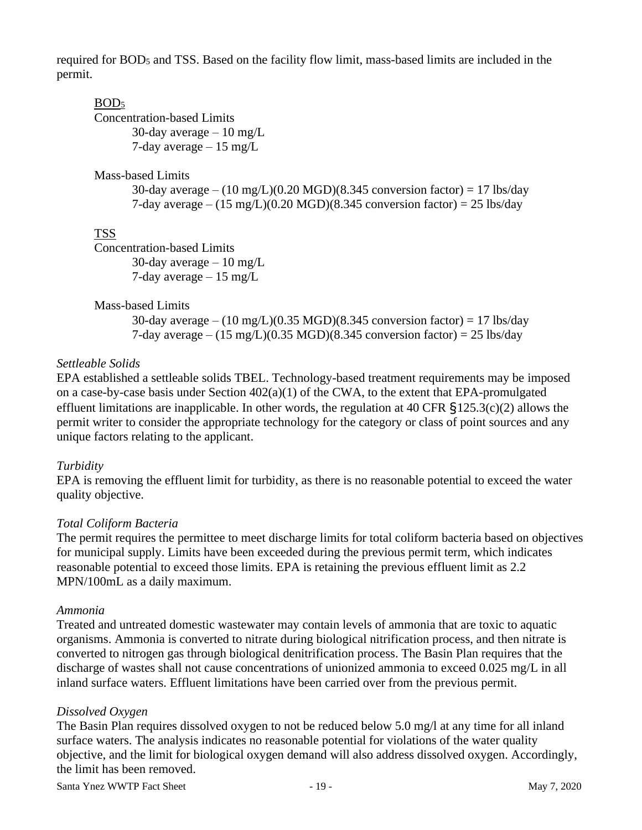required for BOD<sup>5</sup> and TSS. Based on the facility flow limit, mass-based limits are included in the permit.

#### BOD<sup>5</sup>

Concentration-based Limits 30-day average  $-10$  mg/L 7-day average  $-15$  mg/L

#### Mass-based Limits

30-day average –  $(10 \text{ mg/L})(0.20 \text{ MGD})(8.345 \text{ conversion factor}) = 17 \text{ lbs/day}$ 7-day average –  $(15 \text{ mg/L})(0.20 \text{ MGD})(8.345 \text{ conversion factor}) = 25 \text{ lbs/day}$ 

## TSS

Concentration-based Limits 30-day average  $-10$  mg/L 7-day average  $-15$  mg/L

Mass-based Limits

30-day average –  $(10 \text{ mg/L})(0.35 \text{ MGD})(8.345 \text{ conversion factor}) = 17 \text{ lbs/day}$ 7-day average –  $(15 \text{ mg/L})(0.35 \text{ MGD})(8.345 \text{ conversion factor}) = 25 \text{ lbs/day}$ 

## *Settleable Solids*

EPA established a settleable solids TBEL. Technology-based treatment requirements may be imposed on a case-by-case basis under Section 402(a)(1) of the CWA, to the extent that EPA-promulgated effluent limitations are inapplicable. In other words, the regulation at 40 CFR §125.3(c)(2) allows the permit writer to consider the appropriate technology for the category or class of point sources and any unique factors relating to the applicant.

#### *Turbidity*

EPA is removing the effluent limit for turbidity, as there is no reasonable potential to exceed the water quality objective.

#### *Total Coliform Bacteria*

The permit requires the permittee to meet discharge limits for total coliform bacteria based on objectives for municipal supply. Limits have been exceeded during the previous permit term, which indicates reasonable potential to exceed those limits. EPA is retaining the previous effluent limit as 2.2 MPN/100mL as a daily maximum.

#### *Ammonia*

Treated and untreated domestic wastewater may contain levels of ammonia that are toxic to aquatic organisms. Ammonia is converted to nitrate during biological nitrification process, and then nitrate is converted to nitrogen gas through biological denitrification process. The Basin Plan requires that the discharge of wastes shall not cause concentrations of unionized ammonia to exceed 0.025 mg/L in all inland surface waters. Effluent limitations have been carried over from the previous permit.

#### *Dissolved Oxygen*

The Basin Plan requires dissolved oxygen to not be reduced below 5.0 mg/l at any time for all inland surface waters. The analysis indicates no reasonable potential for violations of the water quality objective, and the limit for biological oxygen demand will also address dissolved oxygen. Accordingly, the limit has been removed.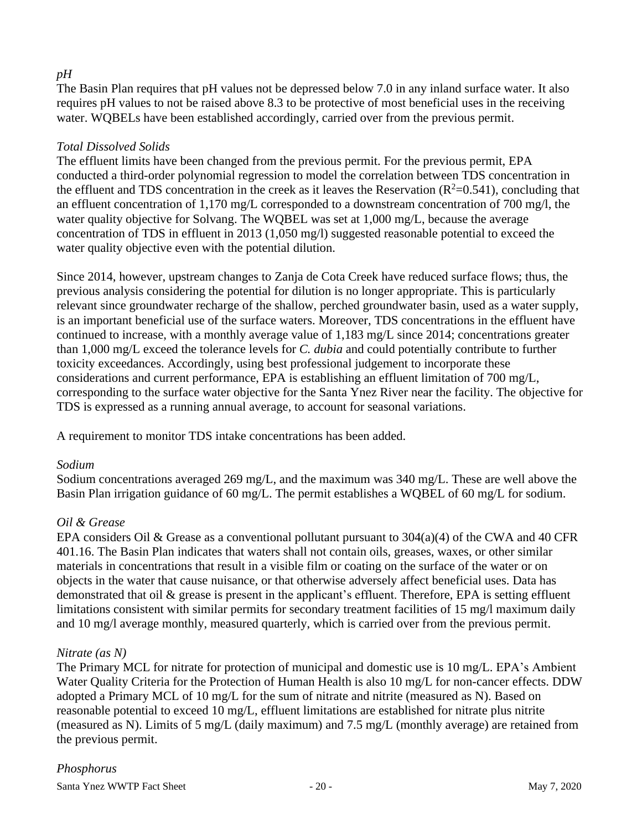## *pH*

The Basin Plan requires that pH values not be depressed below 7.0 in any inland surface water. It also requires pH values to not be raised above 8.3 to be protective of most beneficial uses in the receiving water. WQBELs have been established accordingly, carried over from the previous permit.

#### *Total Dissolved Solids*

The effluent limits have been changed from the previous permit. For the previous permit, EPA conducted a third-order polynomial regression to model the correlation between TDS concentration in the effluent and TDS concentration in the creek as it leaves the Reservation ( $R^2$ =0.541), concluding that an effluent concentration of 1,170 mg/L corresponded to a downstream concentration of 700 mg/l, the water quality objective for Solvang. The WQBEL was set at 1,000 mg/L, because the average concentration of TDS in effluent in 2013 (1,050 mg/l) suggested reasonable potential to exceed the water quality objective even with the potential dilution.

Since 2014, however, upstream changes to Zanja de Cota Creek have reduced surface flows; thus, the previous analysis considering the potential for dilution is no longer appropriate. This is particularly relevant since groundwater recharge of the shallow, perched groundwater basin, used as a water supply, is an important beneficial use of the surface waters. Moreover, TDS concentrations in the effluent have continued to increase, with a monthly average value of 1,183 mg/L since 2014; concentrations greater than 1,000 mg/L exceed the tolerance levels for *C. dubia* and could potentially contribute to further toxicity exceedances. Accordingly, using best professional judgement to incorporate these considerations and current performance, EPA is establishing an effluent limitation of 700 mg/L, corresponding to the surface water objective for the Santa Ynez River near the facility. The objective for TDS is expressed as a running annual average, to account for seasonal variations.

A requirement to monitor TDS intake concentrations has been added.

#### *Sodium*

Sodium concentrations averaged 269 mg/L, and the maximum was 340 mg/L. These are well above the Basin Plan irrigation guidance of 60 mg/L. The permit establishes a WQBEL of 60 mg/L for sodium.

#### *Oil & Grease*

EPA considers Oil & Grease as a conventional pollutant pursuant to  $304(a)(4)$  of the CWA and 40 CFR 401.16. The Basin Plan indicates that waters shall not contain oils, greases, waxes, or other similar materials in concentrations that result in a visible film or coating on the surface of the water or on objects in the water that cause nuisance, or that otherwise adversely affect beneficial uses. Data has demonstrated that oil & grease is present in the applicant's effluent. Therefore, EPA is setting effluent limitations consistent with similar permits for secondary treatment facilities of 15 mg/l maximum daily and 10 mg/l average monthly, measured quarterly, which is carried over from the previous permit.

#### *Nitrate (as N)*

The Primary MCL for nitrate for protection of municipal and domestic use is 10 mg/L. EPA's Ambient Water Quality Criteria for the Protection of Human Health is also 10 mg/L for non-cancer effects. DDW adopted a Primary MCL of 10 mg/L for the sum of nitrate and nitrite (measured as N). Based on reasonable potential to exceed 10 mg/L, effluent limitations are established for nitrate plus nitrite (measured as N). Limits of 5 mg/L (daily maximum) and 7.5 mg/L (monthly average) are retained from the previous permit.

# *Phosphorus*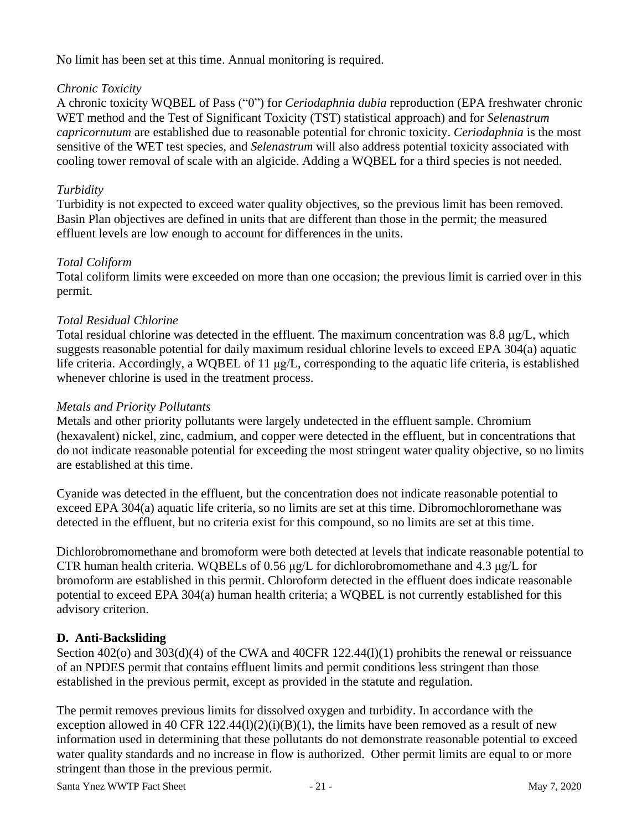No limit has been set at this time. Annual monitoring is required.

#### *Chronic Toxicity*

A chronic toxicity WQBEL of Pass ("0") for *Ceriodaphnia dubia* reproduction (EPA freshwater chronic WET method and the Test of Significant Toxicity (TST) statistical approach) and for *Selenastrum capricornutum* are established due to reasonable potential for chronic toxicity. *Ceriodaphnia* is the most sensitive of the WET test species, and *Selenastrum* will also address potential toxicity associated with cooling tower removal of scale with an algicide. Adding a WQBEL for a third species is not needed.

# *Turbidity*

Turbidity is not expected to exceed water quality objectives, so the previous limit has been removed. Basin Plan objectives are defined in units that are different than those in the permit; the measured effluent levels are low enough to account for differences in the units.

## *Total Coliform*

Total coliform limits were exceeded on more than one occasion; the previous limit is carried over in this permit.

## *Total Residual Chlorine*

Total residual chlorine was detected in the effluent. The maximum concentration was 8.8 μg/L, which suggests reasonable potential for daily maximum residual chlorine levels to exceed EPA 304(a) aquatic life criteria. Accordingly, a WQBEL of 11 μg/L, corresponding to the aquatic life criteria, is established whenever chlorine is used in the treatment process.

#### *Metals and Priority Pollutants*

Metals and other priority pollutants were largely undetected in the effluent sample. Chromium (hexavalent) nickel, zinc, cadmium, and copper were detected in the effluent, but in concentrations that do not indicate reasonable potential for exceeding the most stringent water quality objective, so no limits are established at this time.

Cyanide was detected in the effluent, but the concentration does not indicate reasonable potential to exceed EPA 304(a) aquatic life criteria, so no limits are set at this time. Dibromochloromethane was detected in the effluent, but no criteria exist for this compound, so no limits are set at this time.

Dichlorobromomethane and bromoform were both detected at levels that indicate reasonable potential to CTR human health criteria. WQBELs of 0.56 μg/L for dichlorobromomethane and 4.3 μg/L for bromoform are established in this permit. Chloroform detected in the effluent does indicate reasonable potential to exceed EPA 304(a) human health criteria; a WQBEL is not currently established for this advisory criterion.

# **D. Anti-Backsliding**

Section 402(o) and 303(d)(4) of the CWA and 40CFR 122.44(l)(1) prohibits the renewal or reissuance of an NPDES permit that contains effluent limits and permit conditions less stringent than those established in the previous permit, except as provided in the statute and regulation.

The permit removes previous limits for dissolved oxygen and turbidity. In accordance with the exception allowed in 40 CFR 122.44(l)(2)(i)(B)(1), the limits have been removed as a result of new information used in determining that these pollutants do not demonstrate reasonable potential to exceed water quality standards and no increase in flow is authorized. Other permit limits are equal to or more stringent than those in the previous permit.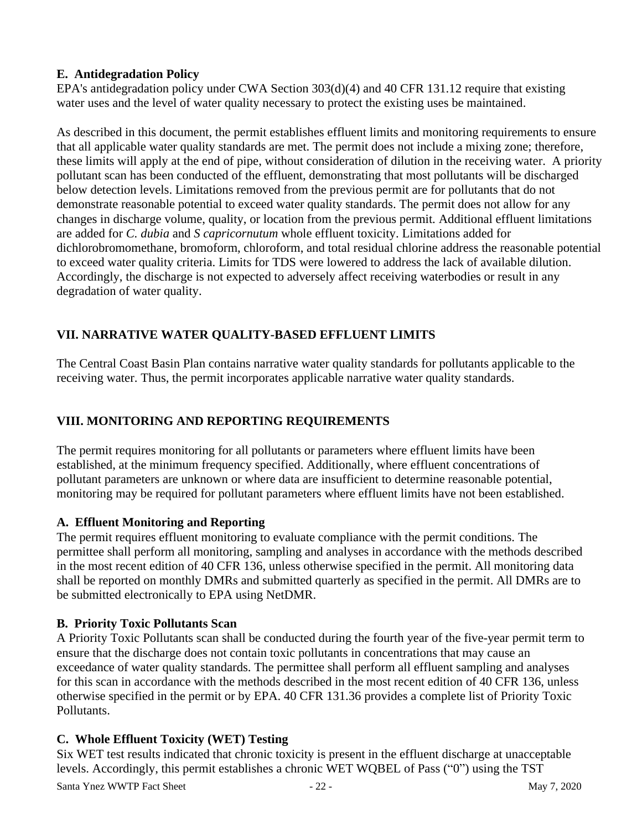## **E. Antidegradation Policy**

EPA's antidegradation policy under CWA Section 303(d)(4) and 40 CFR 131.12 require that existing water uses and the level of water quality necessary to protect the existing uses be maintained.

As described in this document, the permit establishes effluent limits and monitoring requirements to ensure that all applicable water quality standards are met. The permit does not include a mixing zone; therefore, these limits will apply at the end of pipe, without consideration of dilution in the receiving water. A priority pollutant scan has been conducted of the effluent, demonstrating that most pollutants will be discharged below detection levels. Limitations removed from the previous permit are for pollutants that do not demonstrate reasonable potential to exceed water quality standards. The permit does not allow for any changes in discharge volume, quality, or location from the previous permit. Additional effluent limitations are added for *C. dubia* and *S capricornutum* whole effluent toxicity. Limitations added for dichlorobromomethane, bromoform, chloroform, and total residual chlorine address the reasonable potential to exceed water quality criteria. Limits for TDS were lowered to address the lack of available dilution. Accordingly, the discharge is not expected to adversely affect receiving waterbodies or result in any degradation of water quality.

# **VII. NARRATIVE WATER QUALITY-BASED EFFLUENT LIMITS**

The Central Coast Basin Plan contains narrative water quality standards for pollutants applicable to the receiving water. Thus, the permit incorporates applicable narrative water quality standards.

# **VIII. MONITORING AND REPORTING REQUIREMENTS**

The permit requires monitoring for all pollutants or parameters where effluent limits have been established, at the minimum frequency specified. Additionally, where effluent concentrations of pollutant parameters are unknown or where data are insufficient to determine reasonable potential, monitoring may be required for pollutant parameters where effluent limits have not been established.

#### **A. Effluent Monitoring and Reporting**

The permit requires effluent monitoring to evaluate compliance with the permit conditions. The permittee shall perform all monitoring, sampling and analyses in accordance with the methods described in the most recent edition of 40 CFR 136, unless otherwise specified in the permit. All monitoring data shall be reported on monthly DMRs and submitted quarterly as specified in the permit. All DMRs are to be submitted electronically to EPA using NetDMR.

#### **B. Priority Toxic Pollutants Scan**

A Priority Toxic Pollutants scan shall be conducted during the fourth year of the five-year permit term to ensure that the discharge does not contain toxic pollutants in concentrations that may cause an exceedance of water quality standards. The permittee shall perform all effluent sampling and analyses for this scan in accordance with the methods described in the most recent edition of 40 CFR 136, unless otherwise specified in the permit or by EPA. 40 CFR 131.36 provides a complete list of Priority Toxic Pollutants.

#### **C. Whole Effluent Toxicity (WET) Testing**

Six WET test results indicated that chronic toxicity is present in the effluent discharge at unacceptable levels. Accordingly, this permit establishes a chronic WET WQBEL of Pass ("0") using the TST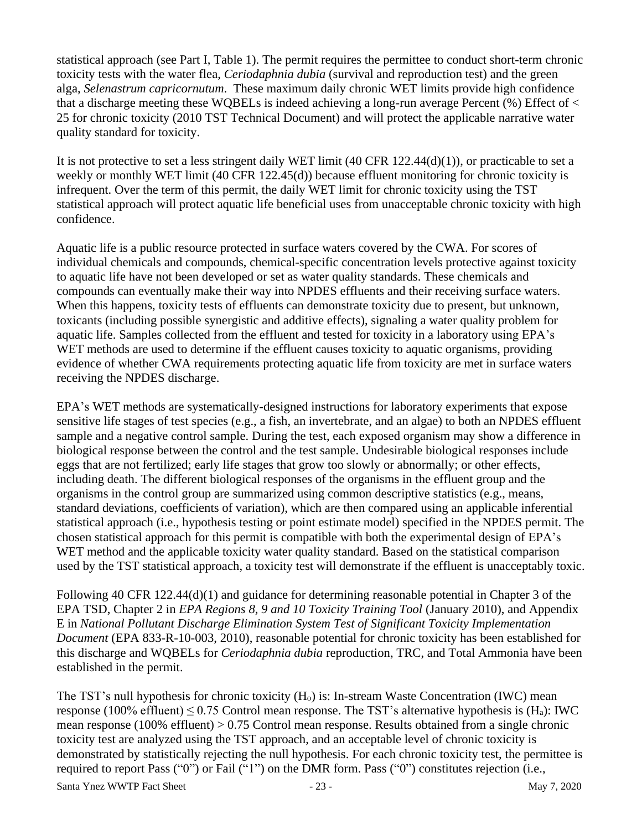statistical approach (see Part I, Table 1). The permit requires the permittee to conduct short-term chronic toxicity tests with the water flea, *Ceriodaphnia dubia* (survival and reproduction test) and the green alga, *Selenastrum capricornutum*. These maximum daily chronic WET limits provide high confidence that a discharge meeting these WQBELs is indeed achieving a long-run average Percent (%) Effect of < 25 for chronic toxicity (2010 TST Technical Document) and will protect the applicable narrative water quality standard for toxicity.

It is not protective to set a less stringent daily WET limit (40 CFR 122.44(d)(1)), or practicable to set a weekly or monthly WET limit (40 CFR 122.45(d)) because effluent monitoring for chronic toxicity is infrequent. Over the term of this permit, the daily WET limit for chronic toxicity using the TST statistical approach will protect aquatic life beneficial uses from unacceptable chronic toxicity with high confidence.

Aquatic life is a public resource protected in surface waters covered by the CWA. For scores of individual chemicals and compounds, chemical-specific concentration levels protective against toxicity to aquatic life have not been developed or set as water quality standards. These chemicals and compounds can eventually make their way into NPDES effluents and their receiving surface waters. When this happens, toxicity tests of effluents can demonstrate toxicity due to present, but unknown, toxicants (including possible synergistic and additive effects), signaling a water quality problem for aquatic life. Samples collected from the effluent and tested for toxicity in a laboratory using EPA's WET methods are used to determine if the effluent causes toxicity to aquatic organisms, providing evidence of whether CWA requirements protecting aquatic life from toxicity are met in surface waters receiving the NPDES discharge.

EPA's WET methods are systematically-designed instructions for laboratory experiments that expose sensitive life stages of test species (e.g., a fish, an invertebrate, and an algae) to both an NPDES effluent sample and a negative control sample. During the test, each exposed organism may show a difference in biological response between the control and the test sample. Undesirable biological responses include eggs that are not fertilized; early life stages that grow too slowly or abnormally; or other effects, including death. The different biological responses of the organisms in the effluent group and the organisms in the control group are summarized using common descriptive statistics (e.g., means, standard deviations, coefficients of variation), which are then compared using an applicable inferential statistical approach (i.e., hypothesis testing or point estimate model) specified in the NPDES permit. The chosen statistical approach for this permit is compatible with both the experimental design of EPA's WET method and the applicable toxicity water quality standard. Based on the statistical comparison used by the TST statistical approach, a toxicity test will demonstrate if the effluent is unacceptably toxic.

Following 40 CFR 122.44(d)(1) and guidance for determining reasonable potential in Chapter 3 of the EPA TSD, Chapter 2 in *EPA Regions 8, 9 and 10 Toxicity Training Tool* (January 2010), and Appendix E in *National Pollutant Discharge Elimination System Test of Significant Toxicity Implementation Document* (EPA 833-R-10-003, 2010), reasonable potential for chronic toxicity has been established for this discharge and WQBELs for *Ceriodaphnia dubia* reproduction, TRC, and Total Ammonia have been established in the permit.

The TST's null hypothesis for chronic toxicity (H<sub>o</sub>) is: In-stream Waste Concentration (IWC) mean response (100% effluent)  $\leq$  0.75 Control mean response. The TST's alternative hypothesis is (H<sub>a</sub>): IWC mean response (100% effluent) > 0.75 Control mean response. Results obtained from a single chronic toxicity test are analyzed using the TST approach, and an acceptable level of chronic toxicity is demonstrated by statistically rejecting the null hypothesis. For each chronic toxicity test, the permittee is required to report Pass ("0") or Fail ("1") on the DMR form. Pass ("0") constitutes rejection (i.e.,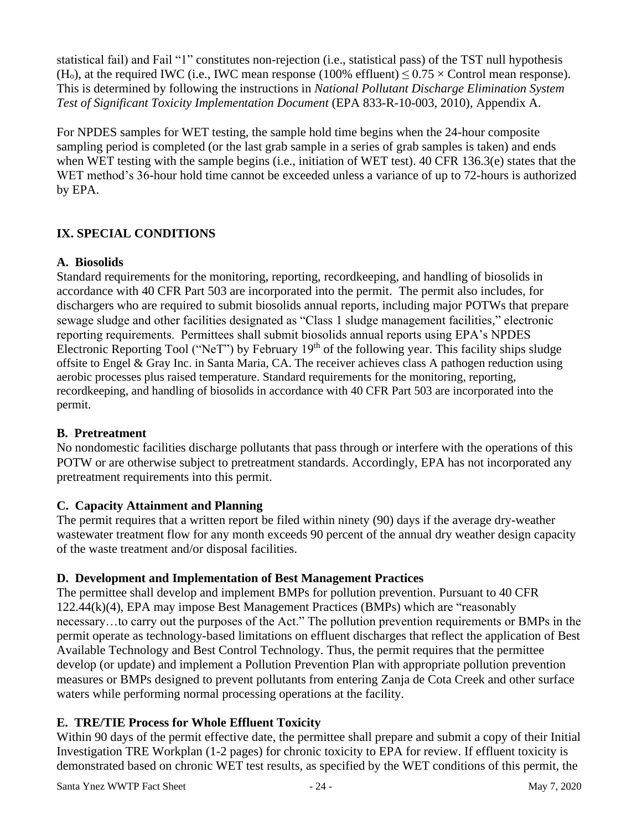statistical fail) and Fail "1" constitutes non-rejection (i.e., statistical pass) of the TST null hypothesis (H<sub>o</sub>), at the required IWC (i.e., IWC mean response (100% effluent)  $\leq 0.75 \times$  Control mean response). This is determined by following the instructions in *National Pollutant Discharge Elimination System Test of Significant Toxicity Implementation Document* (EPA 833-R-10-003, 2010), Appendix A.

For NPDES samples for WET testing, the sample hold time begins when the 24-hour composite sampling period is completed (or the last grab sample in a series of grab samples is taken) and ends when WET testing with the sample begins (i.e., initiation of WET test). 40 CFR 136.3(e) states that the WET method's 36-hour hold time cannot be exceeded unless a variance of up to 72-hours is authorized by EPA.

# **IX. SPECIAL CONDITIONS**

## **A. Biosolids**

Standard requirements for the monitoring, reporting, recordkeeping, and handling of biosolids in accordance with 40 CFR Part 503 are incorporated into the permit. The permit also includes, for dischargers who are required to submit biosolids annual reports, including major POTWs that prepare sewage sludge and other facilities designated as "Class 1 sludge management facilities," electronic reporting requirements. Permittees shall submit biosolids annual reports using EPA's NPDES Electronic Reporting Tool ("NeT") by February 19<sup>th</sup> of the following year. This facility ships sludge offsite to Engel & Gray Inc. in Santa Maria, CA. The receiver achieves class A pathogen reduction using aerobic processes plus raised temperature. Standard requirements for the monitoring, reporting, recordkeeping, and handling of biosolids in accordance with 40 CFR Part 503 are incorporated into the permit.

#### **B. Pretreatment**

No nondomestic facilities discharge pollutants that pass through or interfere with the operations of this POTW or are otherwise subject to pretreatment standards. Accordingly, EPA has not incorporated any pretreatment requirements into this permit.

#### **C. Capacity Attainment and Planning**

The permit requires that a written report be filed within ninety (90) days if the average dry-weather wastewater treatment flow for any month exceeds 90 percent of the annual dry weather design capacity of the waste treatment and/or disposal facilities.

# **D. Development and Implementation of Best Management Practices**

The permittee shall develop and implement BMPs for pollution prevention. Pursuant to 40 CFR 122.44(k)(4), EPA may impose Best Management Practices (BMPs) which are "reasonably necessary…to carry out the purposes of the Act." The pollution prevention requirements or BMPs in the permit operate as technology-based limitations on effluent discharges that reflect the application of Best Available Technology and Best Control Technology. Thus, the permit requires that the permittee develop (or update) and implement a Pollution Prevention Plan with appropriate pollution prevention measures or BMPs designed to prevent pollutants from entering Zanja de Cota Creek and other surface waters while performing normal processing operations at the facility.

# **E. TRE/TIE Process for Whole Effluent Toxicity**

Within 90 days of the permit effective date, the permittee shall prepare and submit a copy of their Initial Investigation TRE Workplan (1-2 pages) for chronic toxicity to EPA for review. If effluent toxicity is demonstrated based on chronic WET test results, as specified by the WET conditions of this permit, the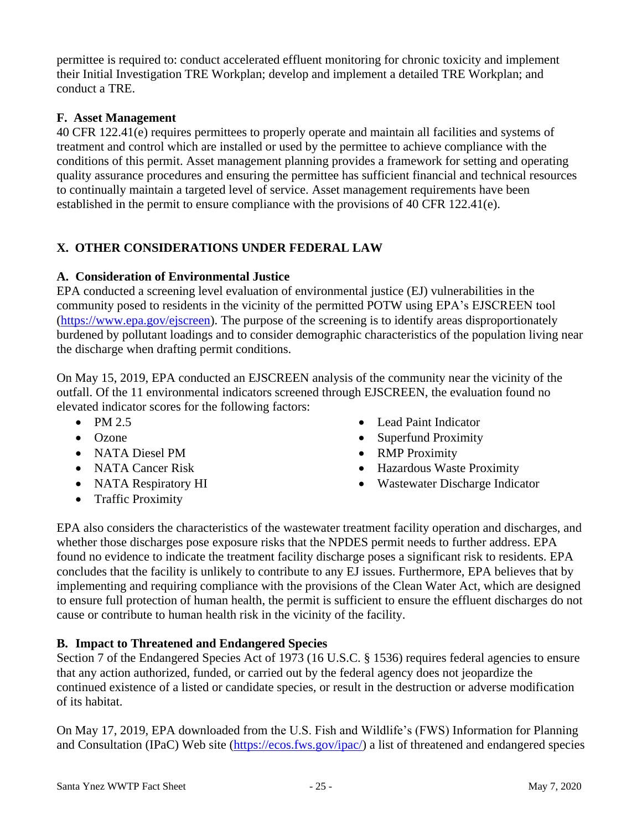permittee is required to: conduct accelerated effluent monitoring for chronic toxicity and implement their Initial Investigation TRE Workplan; develop and implement a detailed TRE Workplan; and conduct a TRE.

# **F. Asset Management**

40 CFR 122.41(e) requires permittees to properly operate and maintain all facilities and systems of treatment and control which are installed or used by the permittee to achieve compliance with the conditions of this permit. Asset management planning provides a framework for setting and operating quality assurance procedures and ensuring the permittee has sufficient financial and technical resources to continually maintain a targeted level of service. Asset management requirements have been established in the permit to ensure compliance with the provisions of  $40$  CFR  $122.41(e)$ .

# **X. OTHER CONSIDERATIONS UNDER FEDERAL LAW**

#### **A. Consideration of Environmental Justice**

EPA conducted a screening level evaluation of environmental justice (EJ) vulnerabilities in the community posed to residents in the vicinity of the permitted POTW using EPA's EJSCREEN tool [\(https://www.epa.gov/ejscreen\)](https://www.epa.gov/ejscreen). The purpose of the screening is to identify areas disproportionately burdened by pollutant loadings and to consider demographic characteristics of the population living near the discharge when drafting permit conditions.

On May 15, 2019, EPA conducted an EJSCREEN analysis of the community near the vicinity of the outfall. Of the 11 environmental indicators screened through EJSCREEN, the evaluation found no elevated indicator scores for the following factors:

- $\bullet$  PM 2.5
- Ozone
- NATA Diesel PM
- NATA Cancer Risk
- NATA Respiratory HI
- Traffic Proximity
- Lead Paint Indicator
- Superfund Proximity
- RMP Proximity
- Hazardous Waste Proximity
- Wastewater Discharge Indicator

EPA also considers the characteristics of the wastewater treatment facility operation and discharges, and whether those discharges pose exposure risks that the NPDES permit needs to further address. EPA found no evidence to indicate the treatment facility discharge poses a significant risk to residents. EPA concludes that the facility is unlikely to contribute to any EJ issues. Furthermore, EPA believes that by implementing and requiring compliance with the provisions of the Clean Water Act, which are designed to ensure full protection of human health, the permit is sufficient to ensure the effluent discharges do not cause or contribute to human health risk in the vicinity of the facility.

#### **B. Impact to Threatened and Endangered Species**

Section 7 of the Endangered Species Act of 1973 (16 U.S.C. § 1536) requires federal agencies to ensure that any action authorized, funded, or carried out by the federal agency does not jeopardize the continued existence of a listed or candidate species, or result in the destruction or adverse modification of its habitat.

On May 17, 2019, EPA downloaded from the U.S. Fish and Wildlife's (FWS) Information for Planning and Consultation (IPaC) Web site [\(https://ecos.fws.gov/ipac/\)](https://ecos.fws.gov/ipac/) a list of threatened and endangered species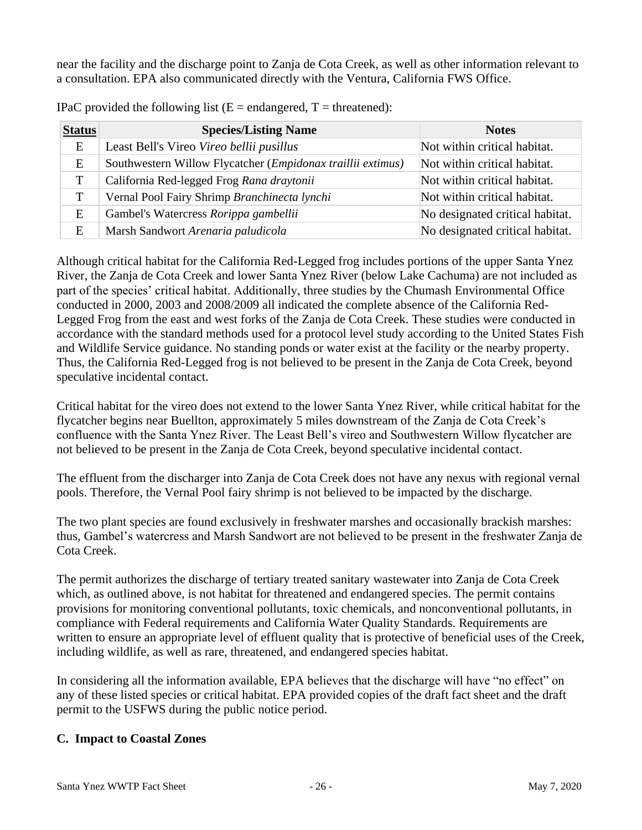near the facility and the discharge point to Zanja de Cota Creek, as well as other information relevant to a consultation. EPA also communicated directly with the Ventura, California FWS Office.

| <b>Status</b> | <b>Species/Listing Name</b>                                 | <b>Notes</b>                    |
|---------------|-------------------------------------------------------------|---------------------------------|
| E             | Least Bell's Vireo Vireo bellii pusillus                    | Not within critical habitat.    |
| E             | Southwestern Willow Flycatcher (Empidonax traillii extimus) | Not within critical habitat.    |
|               | California Red-legged Frog Rana draytonii                   | Not within critical habitat.    |
|               | Vernal Pool Fairy Shrimp Branchinecta lynchi                | Not within critical habitat.    |
| E             | Gambel's Watercress Rorippa gambellii                       | No designated critical habitat. |
| E             | Marsh Sandwort Arenaria paludicola                          | No designated critical habitat. |

IPaC provided the following list  $(E = \text{endanged}, T = \text{thread})$ :

Although critical habitat for the California Red-Legged frog includes portions of the upper Santa Ynez River, the Zanja de Cota Creek and lower Santa Ynez River (below Lake Cachuma) are not included as part of the species' critical habitat. Additionally, three studies by the Chumash Environmental Office conducted in 2000, 2003 and 2008/2009 all indicated the complete absence of the California Red-Legged Frog from the east and west forks of the Zanja de Cota Creek. These studies were conducted in accordance with the standard methods used for a protocol level study according to the United States Fish and Wildlife Service guidance. No standing ponds or water exist at the facility or the nearby property. Thus, the California Red-Legged frog is not believed to be present in the Zanja de Cota Creek, beyond speculative incidental contact.

Critical habitat for the vireo does not extend to the lower Santa Ynez River, while critical habitat for the flycatcher begins near Buellton, approximately 5 miles downstream of the Zanja de Cota Creek's confluence with the Santa Ynez River. The Least Bell's vireo and Southwestern Willow flycatcher are not believed to be present in the Zanja de Cota Creek, beyond speculative incidental contact.

The effluent from the discharger into Zanja de Cota Creek does not have any nexus with regional vernal pools. Therefore, the Vernal Pool fairy shrimp is not believed to be impacted by the discharge.

The two plant species are found exclusively in freshwater marshes and occasionally brackish marshes: thus, Gambel's watercress and Marsh Sandwort are not believed to be present in the freshwater Zanja de Cota Creek.

The permit authorizes the discharge of tertiary treated sanitary wastewater into Zanja de Cota Creek which, as outlined above, is not habitat for threatened and endangered species. The permit contains provisions for monitoring conventional pollutants, toxic chemicals, and nonconventional pollutants, in compliance with Federal requirements and California Water Quality Standards. Requirements are written to ensure an appropriate level of effluent quality that is protective of beneficial uses of the Creek, including wildlife, as well as rare, threatened, and endangered species habitat.

In considering all the information available, EPA believes that the discharge will have "no effect" on any of these listed species or critical habitat. EPA provided copies of the draft fact sheet and the draft permit to the USFWS during the public notice period.

#### **C. Impact to Coastal Zones**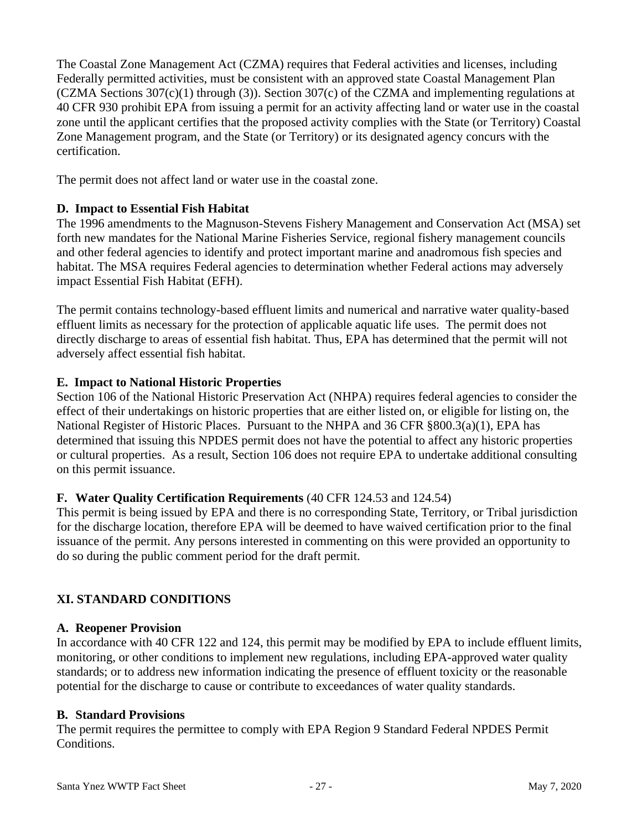The Coastal Zone Management Act (CZMA) requires that Federal activities and licenses, including Federally permitted activities, must be consistent with an approved state Coastal Management Plan (CZMA Sections 307(c)(1) through (3)). Section 307(c) of the CZMA and implementing regulations at 40 CFR 930 prohibit EPA from issuing a permit for an activity affecting land or water use in the coastal zone until the applicant certifies that the proposed activity complies with the State (or Territory) Coastal Zone Management program, and the State (or Territory) or its designated agency concurs with the certification.

The permit does not affect land or water use in the coastal zone.

#### **D. Impact to Essential Fish Habitat**

The 1996 amendments to the Magnuson-Stevens Fishery Management and Conservation Act (MSA) set forth new mandates for the National Marine Fisheries Service, regional fishery management councils and other federal agencies to identify and protect important marine and anadromous fish species and habitat. The MSA requires Federal agencies to determination whether Federal actions may adversely impact Essential Fish Habitat (EFH).

The permit contains technology-based effluent limits and numerical and narrative water quality-based effluent limits as necessary for the protection of applicable aquatic life uses. The permit does not directly discharge to areas of essential fish habitat. Thus, EPA has determined that the permit will not adversely affect essential fish habitat.

#### **E. Impact to National Historic Properties**

Section 106 of the National Historic Preservation Act (NHPA) requires federal agencies to consider the effect of their undertakings on historic properties that are either listed on, or eligible for listing on, the National Register of Historic Places. Pursuant to the NHPA and 36 CFR §800.3(a)(1), EPA has determined that issuing this NPDES permit does not have the potential to affect any historic properties or cultural properties. As a result, Section 106 does not require EPA to undertake additional consulting on this permit issuance.

#### **F. Water Quality Certification Requirements** (40 CFR 124.53 and 124.54)

This permit is being issued by EPA and there is no corresponding State, Territory, or Tribal jurisdiction for the discharge location, therefore EPA will be deemed to have waived certification prior to the final issuance of the permit. Any persons interested in commenting on this were provided an opportunity to do so during the public comment period for the draft permit.

# **XI. STANDARD CONDITIONS**

#### **A. Reopener Provision**

In accordance with 40 CFR 122 and 124, this permit may be modified by EPA to include effluent limits, monitoring, or other conditions to implement new regulations, including EPA-approved water quality standards; or to address new information indicating the presence of effluent toxicity or the reasonable potential for the discharge to cause or contribute to exceedances of water quality standards.

#### **B. Standard Provisions**

The permit requires the permittee to comply with EPA Region 9 Standard Federal NPDES Permit Conditions.